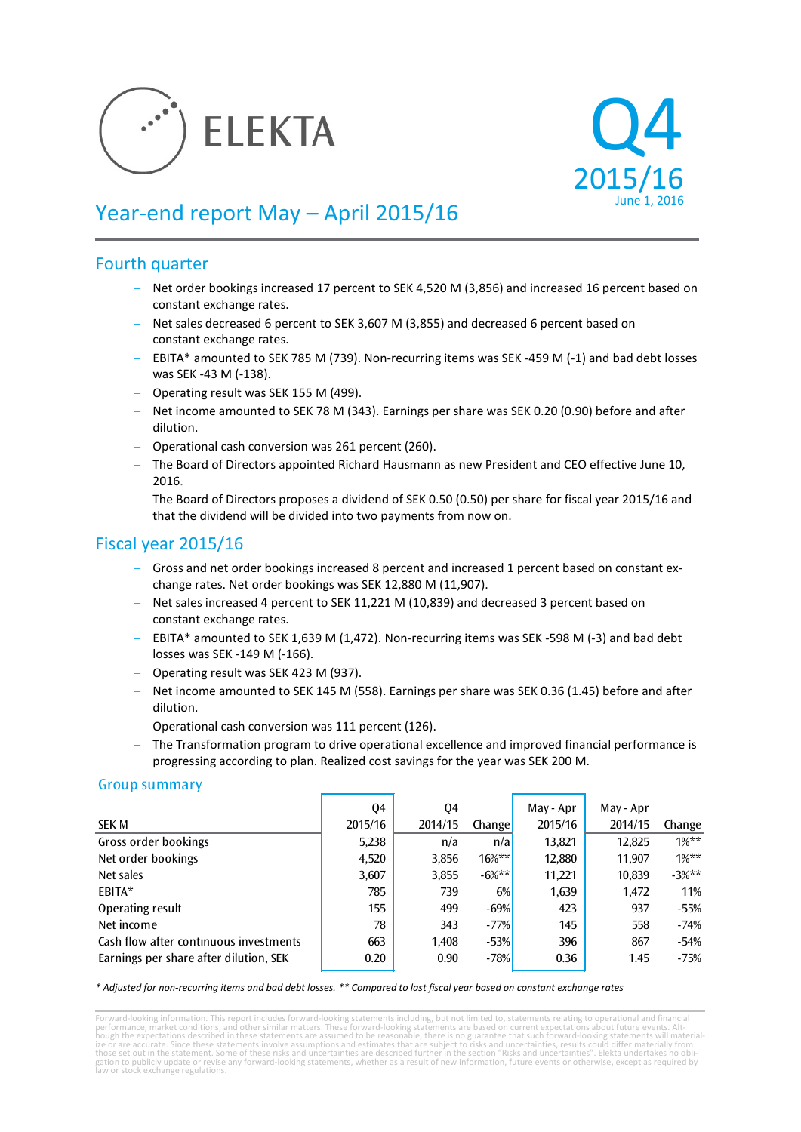



# Year-end report May – April 2015/16

# Fourth quarter

- − Net order bookings increased 17 percent to SEK 4,520 M (3,856) and increased 16 percent based on constant exchange rates.
- − Net sales decreased 6 percent to SEK 3,607 M (3,855) and decreased 6 percent based on constant exchange rates.
- − EBITA\* amounted to SEK 785 M (739). Non-recurring items was SEK -459 M (-1) and bad debt losses was SEK -43 M (-138).
- − Operating result was SEK 155 M (499).
- − Net income amounted to SEK 78 M (343). Earnings per share was SEK 0.20 (0.90) before and after dilution.
- − Operational cash conversion was 261 percent (260).
- − The Board of Directors appointed Richard Hausmann as new President and CEO effective June 10, 2016.
- − The Board of Directors proposes a dividend of SEK 0.50 (0.50) per share for fiscal year 2015/16 and that the dividend will be divided into two payments from now on.

# Fiscal year 2015/16

- − Gross and net order bookings increased 8 percent and increased 1 percent based on constant exchange rates. Net order bookings was SEK 12,880 M (11,907).
- − Net sales increased 4 percent to SEK 11,221 M (10,839) and decreased 3 percent based on constant exchange rates.
- − EBITA\* amounted to SEK 1,639 M (1,472). Non-recurring items was SEK -598 M (-3) and bad debt losses was SEK -149 M (-166).
- − Operating result was SEK 423 M (937).
- − Net income amounted to SEK 145 M (558). Earnings per share was SEK 0.36 (1.45) before and after dilution.
- − Operational cash conversion was 111 percent (126).
- − The Transformation program to drive operational excellence and improved financial performance is progressing according to plan. Realized cost savings for the year was SEK 200 M.

### Group summary

|                                        | Q4      | Q4      |               | May - Apr | May - Apr |         |
|----------------------------------------|---------|---------|---------------|-----------|-----------|---------|
| SEK M                                  | 2015/16 | 2014/15 | <b>Change</b> | 2015/16   | 2014/15   | Change  |
| Gross order bookings                   | 5,238   | n/a     | n/a           | 13,821    | 12,825    | $1\%**$ |
| Net order bookings                     | 4,520   | 3,856   | $16\%***$     | 12,880    | 11,907    | $1\%**$ |
| Net sales                              | 3,607   | 3,855   | $-6%***$      | 11,221    | 10,839    | $-3%**$ |
| EBITA*                                 | 785     | 739     | 6%            | 1,639     | 1,472     | 11%     |
| Operating result                       | 155     | 499     | $-69%$        | 423       | 937       | $-55%$  |
| Net income                             | 78      | 343     | $-77%$        | 145       | 558       | $-74%$  |
| Cash flow after continuous investments | 663     | 1,408   | $-53%$        | 396       | 867       | $-54%$  |
| Earnings per share after dilution, SEK | 0.20    | 0.90    | $-78%$        | 0.36      | 1.45      | $-75%$  |

*\* Adjusted for non-recurring items and bad debt losses. \*\* Compared to last fiscal year based on constant exchange rates*

Forward-looking information. This report includes forward-looking statements including, but not limited to, statements relating to operational and financial<br>performance, market conditions, and other similar matters. These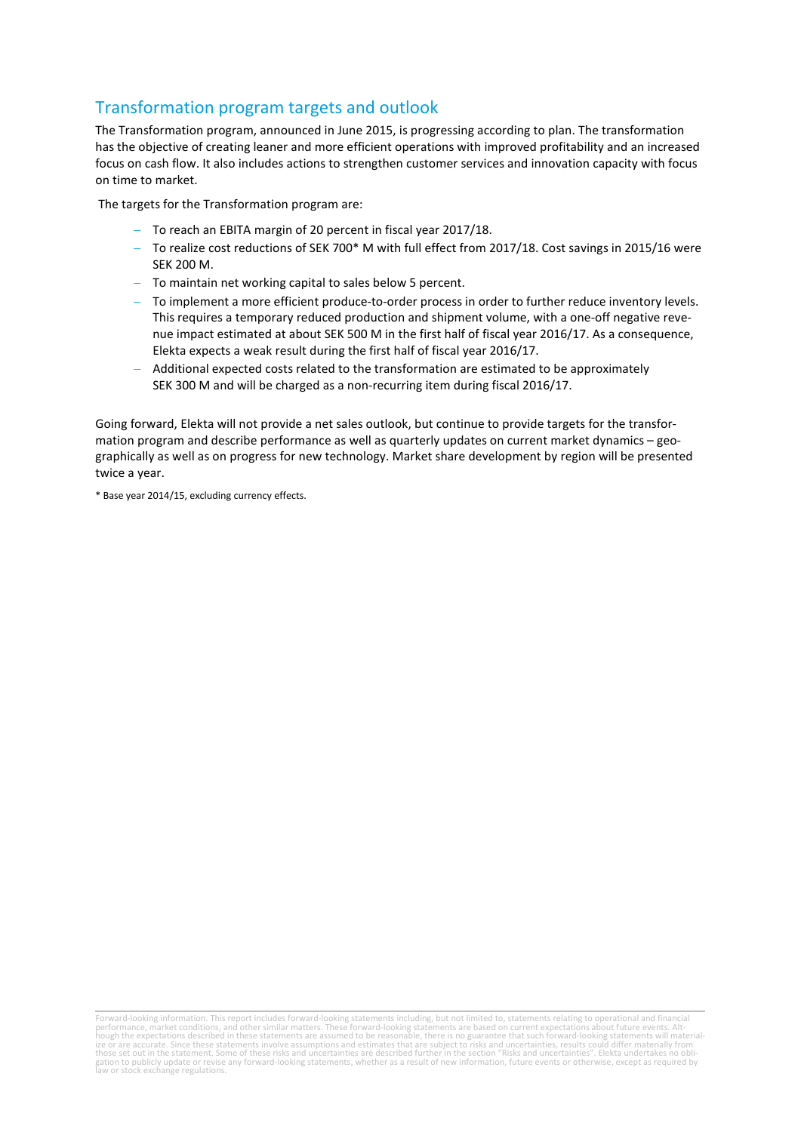# Transformation program targets and outlook

The Transformation program, announced in June 2015, is progressing according to plan. The transformation has the objective of creating leaner and more efficient operations with improved profitability and an increased focus on cash flow. It also includes actions to strengthen customer services and innovation capacity with focus on time to market.

The targets for the Transformation program are:

- − To reach an EBITA margin of 20 percent in fiscal year 2017/18.
- − To realize cost reductions of SEK 700\* M with full effect from 2017/18. Cost savings in 2015/16 were SEK 200 M.
- − To maintain net working capital to sales below 5 percent.
- To implement a more efficient produce-to-order process in order to further reduce inventory levels. This requires a temporary reduced production and shipment volume, with a one-off negative revenue impact estimated at about SEK 500 M in the first half of fiscal year 2016/17. As a consequence, Elekta expects a weak result during the first half of fiscal year 2016/17.
- − Additional expected costs related to the transformation are estimated to be approximately SEK 300 M and will be charged as a non-recurring item during fiscal 2016/17.

Going forward, Elekta will not provide a net sales outlook, but continue to provide targets for the transformation program and describe performance as well as quarterly updates on current market dynamics – geographically as well as on progress for new technology. Market share development by region will be presented twice a year.

\* Base year 2014/15, excluding currency effects.

Forward-looking information. This report includes forward-looking statements including, but not limited to, statements relating to operational and financial<br>performance, market conditions, and other similar matters. These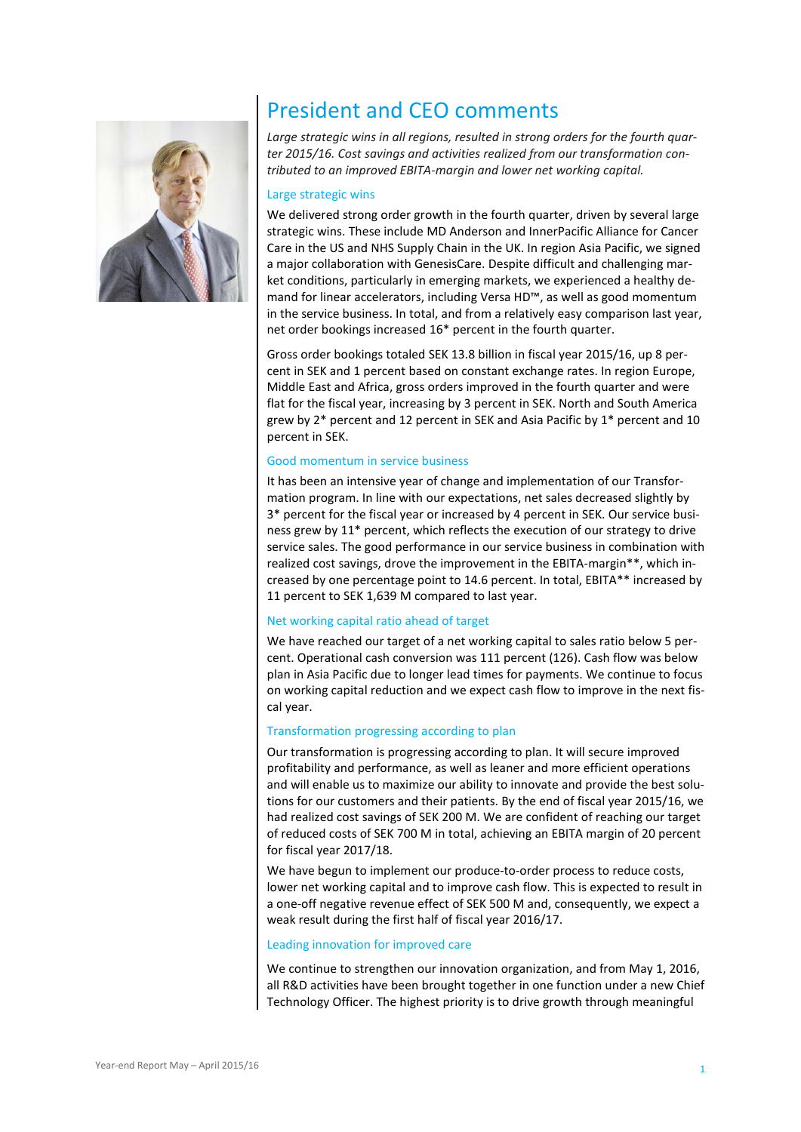

# President and CEO comments

*Large strategic wins in all regions, resulted in strong orders for the fourth quarter 2015/16. Cost savings and activities realized from our transformation contributed to an improved EBITA-margin and lower net working capital.*

#### Large strategic wins

We delivered strong order growth in the fourth quarter, driven by several large strategic wins. These include MD Anderson and InnerPacific Alliance for Cancer Care in the US and NHS Supply Chain in the UK. In region Asia Pacific, we signed a major collaboration with GenesisCare. Despite difficult and challenging market conditions, particularly in emerging markets, we experienced a healthy demand for linear accelerators, including Versa HD™, as well as good momentum in the service business. In total, and from a relatively easy comparison last year, net order bookings increased 16\* percent in the fourth quarter.

Gross order bookings totaled SEK 13.8 billion in fiscal year 2015/16, up 8 percent in SEK and 1 percent based on constant exchange rates. In region Europe, Middle East and Africa, gross orders improved in the fourth quarter and were flat for the fiscal year, increasing by 3 percent in SEK. North and South America grew by 2\* percent and 12 percent in SEK and Asia Pacific by 1\* percent and 10 percent in SEK.

#### Good momentum in service business

It has been an intensive year of change and implementation of our Transformation program. In line with our expectations, net sales decreased slightly by 3\* percent for the fiscal year or increased by 4 percent in SEK. Our service business grew by 11\* percent, which reflects the execution of our strategy to drive service sales. The good performance in our service business in combination with realized cost savings, drove the improvement in the EBITA-margin\*\*, which increased by one percentage point to 14.6 percent. In total, EBITA\*\* increased by 11 percent to SEK 1,639 M compared to last year.

#### Net working capital ratio ahead of target

We have reached our target of a net working capital to sales ratio below 5 percent. Operational cash conversion was 111 percent (126). Cash flow was below plan in Asia Pacific due to longer lead times for payments. We continue to focus on working capital reduction and we expect cash flow to improve in the next fiscal year.

#### Transformation progressing according to plan

Our transformation is progressing according to plan. It will secure improved profitability and performance, as well as leaner and more efficient operations and will enable us to maximize our ability to innovate and provide the best solutions for our customers and their patients. By the end of fiscal year 2015/16, we had realized cost savings of SEK 200 M. We are confident of reaching our target of reduced costs of SEK 700 M in total, achieving an EBITA margin of 20 percent for fiscal year 2017/18.

We have begun to implement our produce-to-order process to reduce costs, lower net working capital and to improve cash flow. This is expected to result in a one-off negative revenue effect of SEK 500 M and, consequently, we expect a weak result during the first half of fiscal year 2016/17.

#### Leading innovation for improved care

We continue to strengthen our innovation organization, and from May 1, 2016, all R&D activities have been brought together in one function under a new Chief Technology Officer. The highest priority is to drive growth through meaningful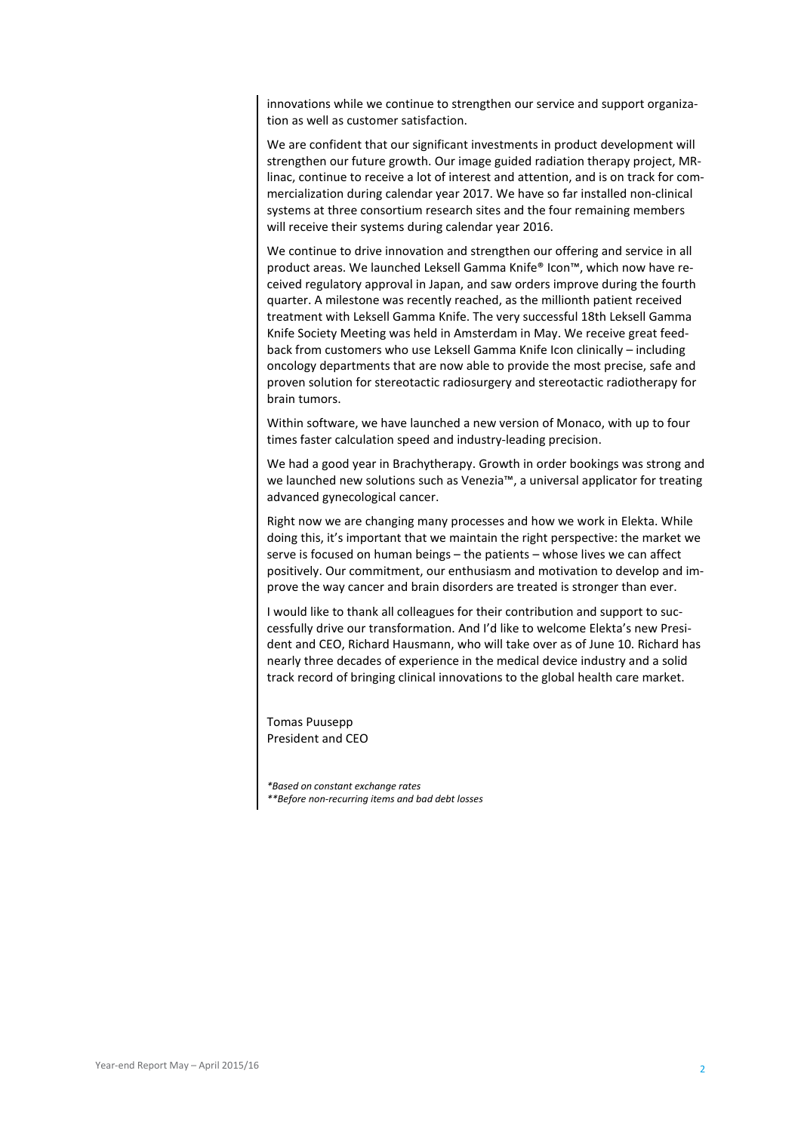innovations while we continue to strengthen our service and support organization as well as customer satisfaction.

We are confident that our significant investments in product development will strengthen our future growth. Our image guided radiation therapy project, MRlinac, continue to receive a lot of interest and attention, and is on track for commercialization during calendar year 2017. We have so far installed non-clinical systems at three consortium research sites and the four remaining members will receive their systems during calendar year 2016.

We continue to drive innovation and strengthen our offering and service in all product areas. We launched Leksell Gamma Knife® Icon™, which now have received regulatory approval in Japan, and saw orders improve during the fourth quarter. A milestone was recently reached, as the millionth patient received treatment with Leksell Gamma Knife. The very successful 18th Leksell Gamma Knife Society Meeting was held in Amsterdam in May. We receive great feedback from customers who use Leksell Gamma Knife Icon clinically – including oncology departments that are now able to provide the most precise, safe and proven solution for stereotactic radiosurgery and stereotactic radiotherapy for brain tumors.

Within software, we have launched a new version of Monaco, with up to four times faster calculation speed and industry-leading precision.

We had a good year in Brachytherapy. Growth in order bookings was strong and we launched new solutions such as Venezia™, a universal applicator for treating advanced gynecological cancer.

Right now we are changing many processes and how we work in Elekta. While doing this, it's important that we maintain the right perspective: the market we serve is focused on human beings – the patients – whose lives we can affect positively. Our commitment, our enthusiasm and motivation to develop and improve the way cancer and brain disorders are treated is stronger than ever.

I would like to thank all colleagues for their contribution and support to successfully drive our transformation. And I'd like to welcome Elekta's new President and CEO, Richard Hausmann, who will take over as of June 10. Richard has nearly three decades of experience in the medical device industry and a solid track record of bringing clinical innovations to the global health care market.

Tomas Puusepp President and CEO

*\*Based on constant exchange rates*

*\*\*Before non-recurring items and bad debt losses*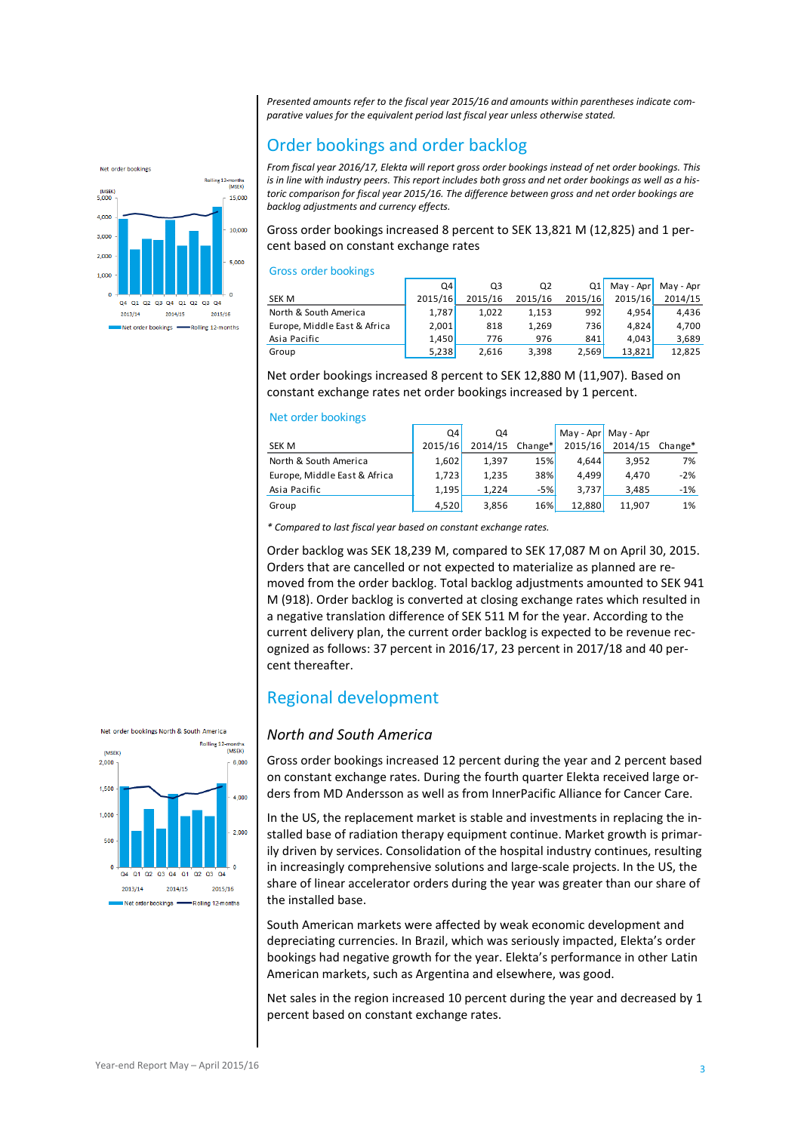*Presented amounts refer to the fiscal year 2015/16 and amounts within parentheses indicate comparative values for the equivalent period last fiscal year unless otherwise stated.*

# Order bookings and order backlog



Gross order bookings increased 8 percent to SEK 13,821 M (12,825) and 1 percent based on constant exchange rates

#### Gross order bookings

|                              | Q4      | Q3      | Q2      | Q1               | May - Apr | May - Apr |
|------------------------------|---------|---------|---------|------------------|-----------|-----------|
| <b>SEK M</b>                 | 2015/16 | 2015/16 | 2015/16 | 2015/16          | 2015/16   | 2014/15   |
| North & South America        | 1.787   | 1.022   | 1.153   | 992              | 4.954     | 4.436     |
| Europe, Middle East & Africa | 2,001   | 818     | 1,269   | 736 <sup> </sup> | 4.824     | 4,700     |
| Asia Pacific                 | 1.450   | 776     | 976     | 841              | 4.043     | 3,689     |
| Group                        | 5,238   | 2.616   | 3,398   | 2,569            | 13,821    | 12.825    |

Net order bookings increased 8 percent to SEK 12,880 M (11,907). Based on constant exchange rates net order bookings increased by 1 percent.

#### Net order bookings

|                              | Q4      | Q4      |                     |         | May - Apr   May - Apr |       |
|------------------------------|---------|---------|---------------------|---------|-----------------------|-------|
| <b>SEK M</b>                 | 2015/16 | 2014/15 | Change <sup>*</sup> | 2015/16 | 2014/15 Change*       |       |
| North & South America        | 1,602   | 1.397   | <b>15%</b>          | 4.644   | 3.952                 | 7%    |
| Europe, Middle East & Africa | 1,723   | 1,235   | <b>38%</b>          | 4.499   | 4.470                 | $-2%$ |
| Asia Pacific                 | 1.195   | 1.224   | $-5%$               | 3.737   | 3.485                 | $-1%$ |
| Group                        | 4,520   | 3.856   | 16%                 | 12.880  | 11.907                | 1%    |

*\* Compared to last fiscal year based on constant exchange rates.*

Order backlog was SEK 18,239 M, compared to SEK 17,087 M on April 30, 2015. Orders that are cancelled or not expected to materialize as planned are removed from the order backlog. Total backlog adjustments amounted to SEK 941 M (918). Order backlog is converted at closing exchange rates which resulted in a negative translation difference of SEK 511 M for the year. According to the current delivery plan, the current order backlog is expected to be revenue recognized as follows: 37 percent in 2016/17, 23 percent in 2017/18 and 40 percent thereafter.

# Regional development

#### *North and South America*

Gross order bookings increased 12 percent during the year and 2 percent based on constant exchange rates. During the fourth quarter Elekta received large orders from MD Andersson as well as from InnerPacific Alliance for Cancer Care.

In the US, the replacement market is stable and investments in replacing the installed base of radiation therapy equipment continue. Market growth is primarily driven by services. Consolidation of the hospital industry continues, resulting in increasingly comprehensive solutions and large-scale projects. In the US, the share of linear accelerator orders during the year was greater than our share of the installed base.

South American markets were affected by weak economic development and depreciating currencies. In Brazil, which was seriously impacted, Elekta's order bookings had negative growth for the year. Elekta's performance in other Latin American markets, such as Argentina and elsewhere, was good.

Net sales in the region increased 10 percent during the year and decreased by 1 percent based on constant exchange rates.



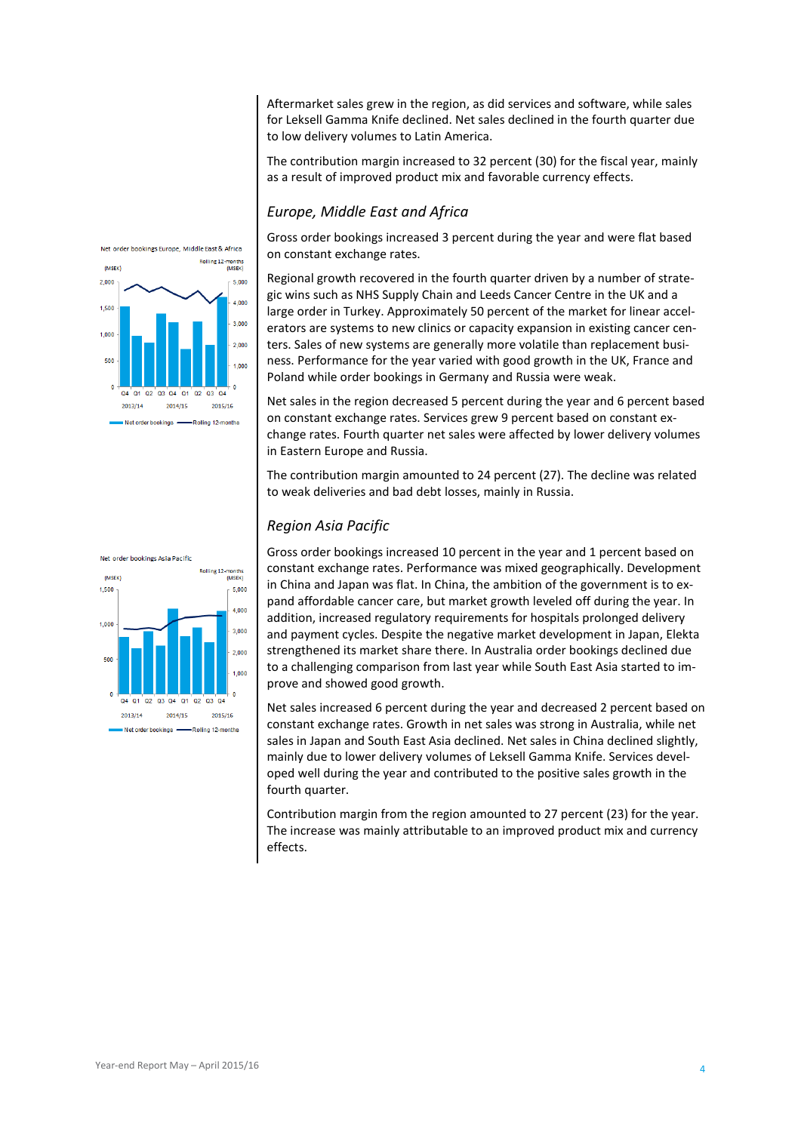Aftermarket sales grew in the region, as did services and software, while sales for Leksell Gamma Knife declined. Net sales declined in the fourth quarter due to low delivery volumes to Latin America.

The contribution margin increased to 32 percent (30) for the fiscal year, mainly as a result of improved product mix and favorable currency effects.

#### *Europe, Middle East and Africa*

Gross order bookings increased 3 percent during the year and were flat based on constant exchange rates.

Regional growth recovered in the fourth quarter driven by a number of strategic wins such as NHS Supply Chain and Leeds Cancer Centre in the UK and a large order in Turkey. Approximately 50 percent of the market for linear accelerators are systems to new clinics or capacity expansion in existing cancer centers. Sales of new systems are generally more volatile than replacement business. Performance for the year varied with good growth in the UK, France and Poland while order bookings in Germany and Russia were weak.

Net sales in the region decreased 5 percent during the year and 6 percent based on constant exchange rates. Services grew 9 percent based on constant exchange rates. Fourth quarter net sales were affected by lower delivery volumes in Eastern Europe and Russia.

The contribution margin amounted to 24 percent (27). The decline was related to weak deliveries and bad debt losses, mainly in Russia.

### *Region Asia Pacific*

Gross order bookings increased 10 percent in the year and 1 percent based on constant exchange rates. Performance was mixed geographically. Development in China and Japan was flat. In China, the ambition of the government is to expand affordable cancer care, but market growth leveled off during the year. In addition, increased regulatory requirements for hospitals prolonged delivery and payment cycles. Despite the negative market development in Japan, Elekta strengthened its market share there. In Australia order bookings declined due to a challenging comparison from last year while South East Asia started to improve and showed good growth.

Net sales increased 6 percent during the year and decreased 2 percent based on constant exchange rates. Growth in net sales was strong in Australia, while net sales in Japan and South East Asia declined. Net sales in China declined slightly, mainly due to lower delivery volumes of Leksell Gamma Knife. Services developed well during the year and contributed to the positive sales growth in the fourth quarter.

Contribution margin from the region amounted to 27 percent (23) for the year. The increase was mainly attributable to an improved product mix and currency effects.



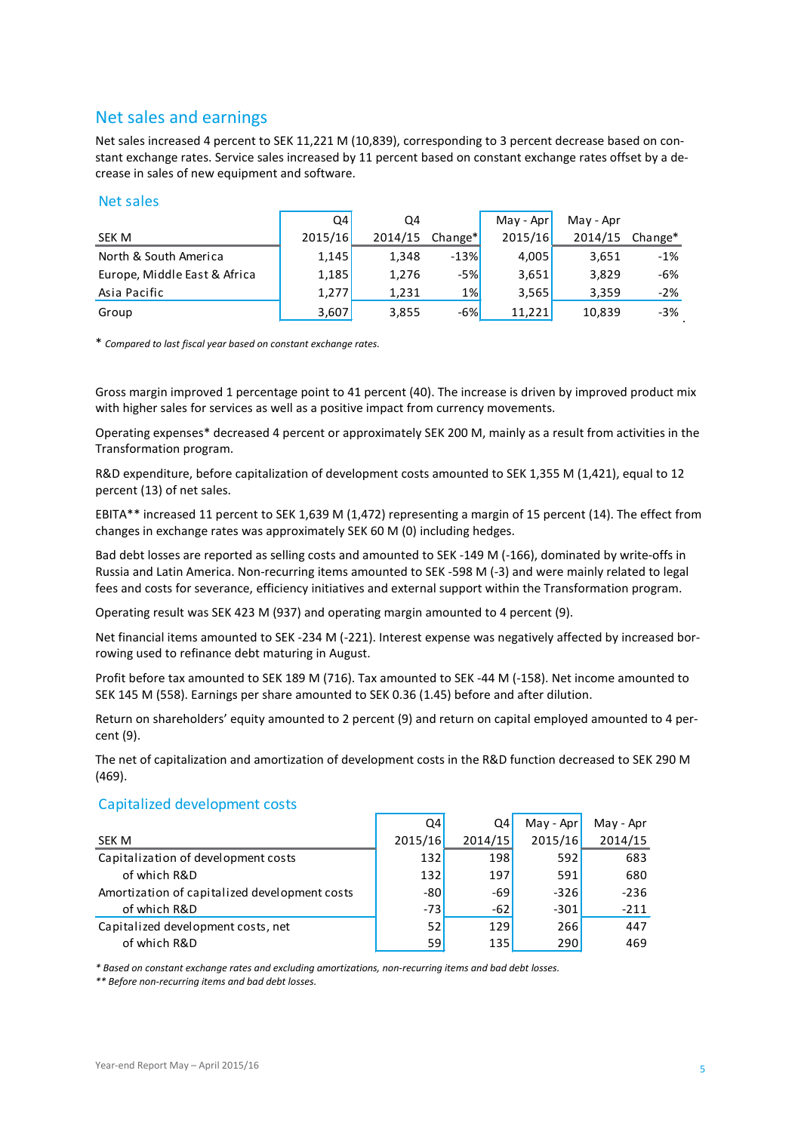# Net sales and earnings

Net sales increased 4 percent to SEK 11,221 M (10,839), corresponding to 3 percent decrease based on constant exchange rates. Service sales increased by 11 percent based on constant exchange rates offset by a decrease in sales of new equipment and software.

#### Net sales

|                              | Q4      | Q4    |                               | May - Apr | May - Apr |         |
|------------------------------|---------|-------|-------------------------------|-----------|-----------|---------|
| SEK M                        | 2015/16 |       | $2014/15$ Change <sup>*</sup> | 2015/16   | 2014/15   | Change* |
| North & South America        | 1,145   | 1,348 | $-13%$                        | 4,005     | 3,651     | $-1%$   |
| Europe, Middle East & Africa | 1,185   | 1,276 | $-5%$                         | 3,651     | 3,829     | -6%     |
| Asia Pacific                 | 1,277   | 1,231 | $1\%$                         | 3.565     | 3,359     | $-2%$   |
| Group                        | 3,607   | 3,855 | $-6%$                         | 11.221    | 10,839    | $-3%$   |

\* *Compared to last fiscal year based on constant exchange rates.*

Gross margin improved 1 percentage point to 41 percent (40). The increase is driven by improved product mix with higher sales for services as well as a positive impact from currency movements.

Operating expenses\* decreased 4 percent or approximately SEK 200 M, mainly as a result from activities in the Transformation program.

R&D expenditure, before capitalization of development costs amounted to SEK 1,355 M (1,421), equal to 12 percent (13) of net sales.

EBITA\*\* increased 11 percent to SEK 1,639 M (1,472) representing a margin of 15 percent (14). The effect from changes in exchange rates was approximately SEK 60 M (0) including hedges.

Bad debt losses are reported as selling costs and amounted to SEK -149 M (-166), dominated by write-offs in Russia and Latin America. Non-recurring items amounted to SEK -598 M (-3) and were mainly related to legal fees and costs for severance, efficiency initiatives and external support within the Transformation program.

Operating result was SEK 423 M (937) and operating margin amounted to 4 percent (9).

Net financial items amounted to SEK -234 M (-221). Interest expense was negatively affected by increased borrowing used to refinance debt maturing in August.

Profit before tax amounted to SEK 189 M (716). Tax amounted to SEK -44 M (-158). Net income amounted to SEK 145 M (558). Earnings per share amounted to SEK 0.36 (1.45) before and after dilution.

Return on shareholders' equity amounted to 2 percent (9) and return on capital employed amounted to 4 percent (9).

The net of capitalization and amortization of development costs in the R&D function decreased to SEK 290 M (469).

#### Capitalized development costs

|                                               | Q4      | Q4      | May - Apr | May - Apr |
|-----------------------------------------------|---------|---------|-----------|-----------|
| SEK M                                         | 2015/16 | 2014/15 | 2015/16   | 2014/15   |
| Capitalization of development costs           | 132     | 198     | 592       | 683       |
| of which R&D                                  | 132     | 197     | 591       | 680       |
| Amortization of capitalized development costs | $-80$   | -69     | $-326$    | $-236$    |
| of which R&D                                  | $-73$   | $-62$   | $-301$    | $-211$    |
| Capitalized development costs, net            | 52      | 129     | 266       | 447       |
| of which R&D                                  | 59      | 135     | 290       | 469       |

*\* Based on constant exchange rates and excluding amortizations, non-recurring items and bad debt losses.*

*\*\* Before non-recurring items and bad debt losses.*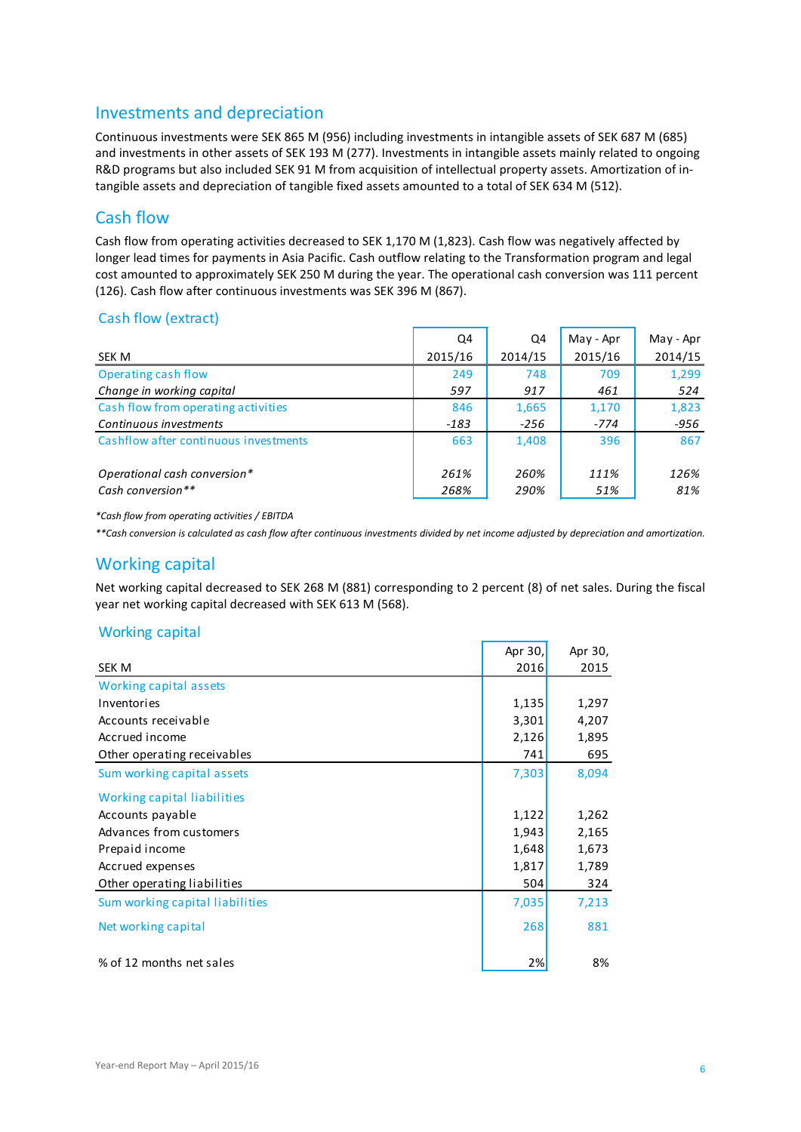# Investments and depreciation

Continuous investments were SEK 865 M (956) including investments in intangible assets of SEK 687 M (685) and investments in other assets of SEK 193 M (277). Investments in intangible assets mainly related to ongoing R&D programs but also included SEK 91 M from acquisition of intellectual property assets. Amortization of intangible assets and depreciation of tangible fixed assets amounted to a total of SEK 634 M (512).

# Cash flow

Cash flow from operating activities decreased to SEK 1,170 M (1,823). Cash flow was negatively affected by longer lead times for payments in Asia Pacific. Cash outflow relating to the Transformation program and legal cost amounted to approximately SEK 250 M during the year. The operational cash conversion was 111 percent (126). Cash flow after continuous investments was SEK 396 M (867).

# Cash flow (extract)

|                                       | Q4      | Q4      | May - Apr | May - Apr |
|---------------------------------------|---------|---------|-----------|-----------|
| SEK M                                 | 2015/16 | 2014/15 | 2015/16   | 2014/15   |
| Operating cash flow                   | 249     | 748     | 709       | 1,299     |
| Change in working capital             | 597     | 917     | 461       | 524       |
| Cash flow from operating activities   | 846     | 1,665   | 1,170     | 1,823     |
| Continuous investments                | $-183$  | -256    | $-774$    | -956      |
| Cashflow after continuous investments | 663     | 1.408   | 396       | 867       |
| Operational cash conversion*          | 261%    | 260%    | 111%      | 126%      |
| Cash conversion**                     | 268%    | 290%    | 51%       | 81%       |

*\*Cash flow from operating activities / EBITDA*

*\*\*Cash conversion is calculated as cash flow after continuous investments divided by net income adjusted by depreciation and amortization.*

# Working capital

Net working capital decreased to SEK 268 M (881) corresponding to 2 percent (8) of net sales. During the fiscal year net working capital decreased with SEK 613 M (568).

### Working capital

|                                 | Apr 30, | Apr 30, |
|---------------------------------|---------|---------|
| <b>SEK M</b>                    | 2016    | 2015    |
| Working capital assets          |         |         |
| Inventories                     | 1,135   | 1,297   |
| Accounts receivable             | 3,301   | 4,207   |
| Accrued income                  | 2,126   | 1,895   |
| Other operating receivables     | 741     | 695     |
| Sum working capital assets      | 7,303   | 8,094   |
| Working capital liabilities     |         |         |
| Accounts payable                | 1,122   | 1,262   |
| Advances from customers         | 1,943   | 2,165   |
| Prepaid income                  | 1,648   | 1,673   |
| Accrued expenses                | 1,817   | 1,789   |
| Other operating liabilities     | 504     | 324     |
| Sum working capital liabilities | 7,035   | 7,213   |
| Net working capital             | 268     | 881     |
| % of 12 months net sales        | 2%      | 8%      |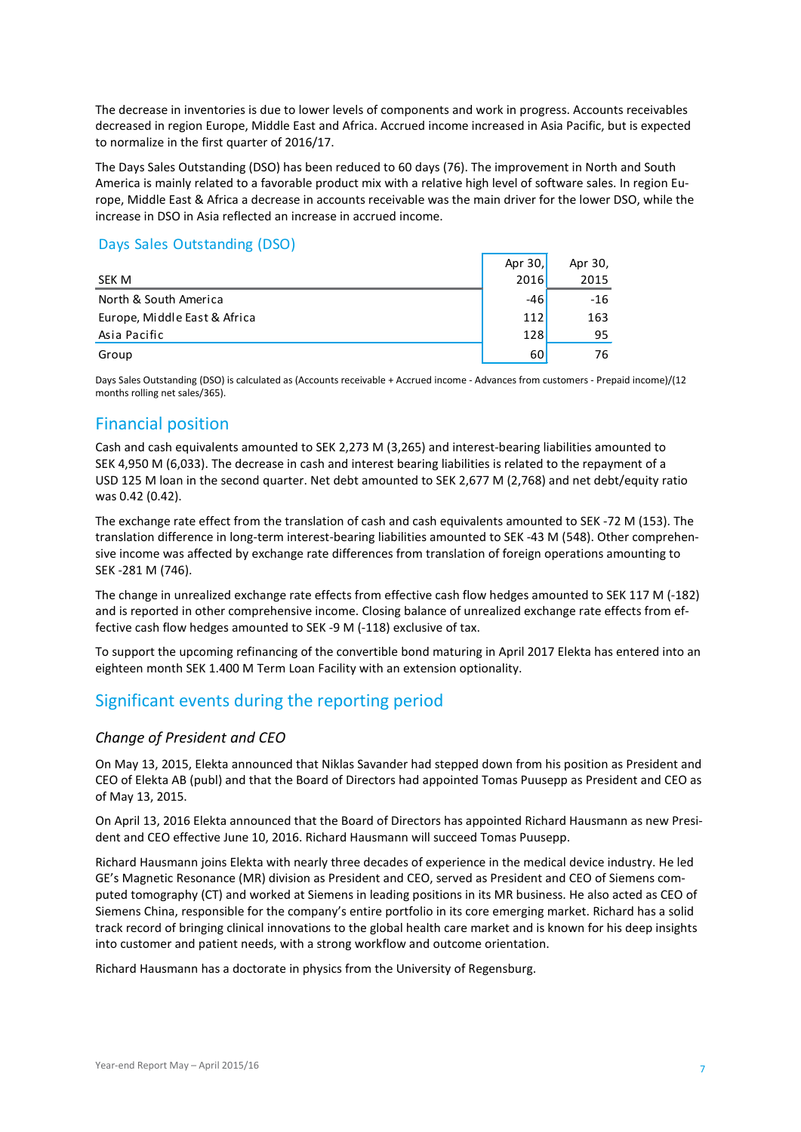The decrease in inventories is due to lower levels of components and work in progress. Accounts receivables decreased in region Europe, Middle East and Africa. Accrued income increased in Asia Pacific, but is expected to normalize in the first quarter of 2016/17.

The Days Sales Outstanding (DSO) has been reduced to 60 days (76). The improvement in North and South America is mainly related to a favorable product mix with a relative high level of software sales. In region Europe, Middle East & Africa a decrease in accounts receivable was the main driver for the lower DSO, while the increase in DSO in Asia reflected an increase in accrued income.

# Days Sales Outstanding (DSO)

|                              | Apr 30,    | Apr 30, |
|------------------------------|------------|---------|
| SEK M                        | 2016       | 2015    |
| North & South America        | $-46$      | $-16$   |
| Europe, Middle East & Africa | 112        | 163     |
| Asia Pacific                 | <b>128</b> | 95      |
| Group                        | 60         | 76      |

Days Sales Outstanding (DSO) is calculated as (Accounts receivable + Accrued income - Advances from customers - Prepaid income)/(12 months rolling net sales/365).

# Financial position

Cash and cash equivalents amounted to SEK 2,273 M (3,265) and interest-bearing liabilities amounted to SEK 4,950 M (6,033). The decrease in cash and interest bearing liabilities is related to the repayment of a USD 125 M loan in the second quarter. Net debt amounted to SEK 2,677 M (2,768) and net debt/equity ratio was 0.42 (0.42).

The exchange rate effect from the translation of cash and cash equivalents amounted to SEK -72 M (153). The translation difference in long-term interest-bearing liabilities amounted to SEK -43 M (548). Other comprehensive income was affected by exchange rate differences from translation of foreign operations amounting to SEK -281 M (746).

The change in unrealized exchange rate effects from effective cash flow hedges amounted to SEK 117 M (-182) and is reported in other comprehensive income. Closing balance of unrealized exchange rate effects from effective cash flow hedges amounted to SEK -9 M (-118) exclusive of tax.

To support the upcoming refinancing of the convertible bond maturing in April 2017 Elekta has entered into an eighteen month SEK 1.400 M Term Loan Facility with an extension optionality.

# Significant events during the reporting period

### *Change of President and CEO*

On May 13, 2015, Elekta announced that Niklas Savander had stepped down from his position as President and CEO of Elekta AB (publ) and that the Board of Directors had appointed Tomas Puusepp as President and CEO as of May 13, 2015.

On April 13, 2016 Elekta announced that the Board of Directors has appointed Richard Hausmann as new President and CEO effective June 10, 2016. Richard Hausmann will succeed Tomas Puusepp.

Richard Hausmann joins Elekta with nearly three decades of experience in the medical device industry. He led GE's Magnetic Resonance (MR) division as President and CEO, served as President and CEO of Siemens computed tomography (CT) and worked at Siemens in leading positions in its MR business. He also acted as CEO of Siemens China, responsible for the company's entire portfolio in its core emerging market. Richard has a solid track record of bringing clinical innovations to the global health care market and is known for his deep insights into customer and patient needs, with a strong workflow and outcome orientation.

Richard Hausmann has a doctorate in physics from the University of Regensburg.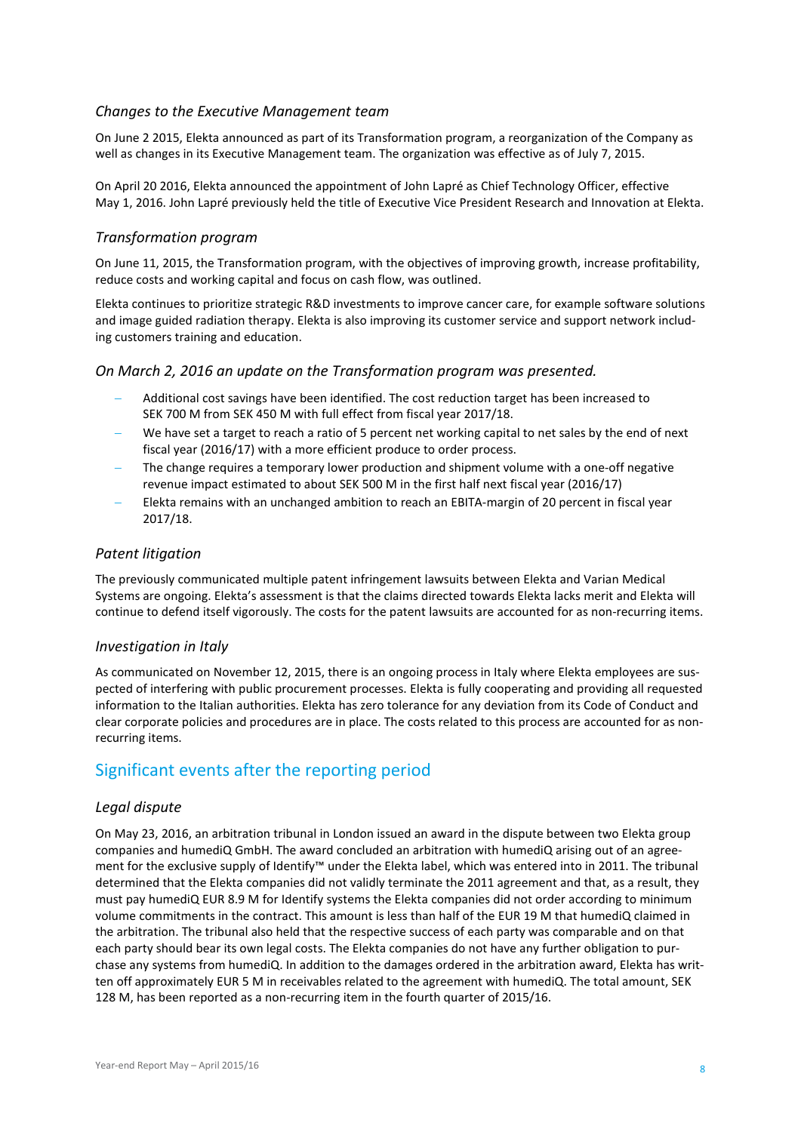#### *Changes to the Executive Management team*

On June 2 2015, Elekta announced as part of its Transformation program, a reorganization of the Company as well as changes in its Executive Management team. The organization was effective as of July 7, 2015.

On April 20 2016, Elekta announced the appointment of John Lapré as Chief Technology Officer, effective May 1, 2016. John Lapré previously held the title of Executive Vice President Research and Innovation at Elekta.

#### *Transformation program*

On June 11, 2015, the Transformation program, with the objectives of improving growth, increase profitability, reduce costs and working capital and focus on cash flow, was outlined.

Elekta continues to prioritize strategic R&D investments to improve cancer care, for example software solutions and image guided radiation therapy. Elekta is also improving its customer service and support network including customers training and education.

#### *On March 2, 2016 an update on the Transformation program was presented.*

- − Additional cost savings have been identified. The cost reduction target has been increased to SEK 700 M from SEK 450 M with full effect from fiscal year 2017/18.
- We have set a target to reach a ratio of 5 percent net working capital to net sales by the end of next fiscal year (2016/17) with a more efficient produce to order process.
- The change requires a temporary lower production and shipment volume with a one-off negative revenue impact estimated to about SEK 500 M in the first half next fiscal year (2016/17)
- − Elekta remains with an unchanged ambition to reach an EBITA-margin of 20 percent in fiscal year 2017/18.

#### *Patent litigation*

The previously communicated multiple patent infringement lawsuits between Elekta and Varian Medical Systems are ongoing. Elekta's assessment is that the claims directed towards Elekta lacks merit and Elekta will continue to defend itself vigorously. The costs for the patent lawsuits are accounted for as non-recurring items.

#### *Investigation in Italy*

As communicated on November 12, 2015, there is an ongoing process in Italy where Elekta employees are suspected of interfering with public procurement processes. Elekta is fully cooperating and providing all requested information to the Italian authorities. Elekta has zero tolerance for any deviation from its Code of Conduct and clear corporate policies and procedures are in place. The costs related to this process are accounted for as nonrecurring items.

# Significant events after the reporting period

#### *Legal dispute*

On May 23, 2016, an arbitration tribunal in London issued an award in the dispute between two Elekta group companies and humediQ GmbH. The award concluded an arbitration with humediQ arising out of an agreement for the exclusive supply of Identify™ under the Elekta label, which was entered into in 2011. The tribunal determined that the Elekta companies did not validly terminate the 2011 agreement and that, as a result, they must pay humediQ EUR 8.9 M for Identify systems the Elekta companies did not order according to minimum volume commitments in the contract. This amount is less than half of the EUR 19 M that humediQ claimed in the arbitration. The tribunal also held that the respective success of each party was comparable and on that each party should bear its own legal costs. The Elekta companies do not have any further obligation to purchase any systems from humediQ. In addition to the damages ordered in the arbitration award, Elekta has written off approximately EUR 5 M in receivables related to the agreement with humediQ. The total amount, SEK 128 M, has been reported as a non-recurring item in the fourth quarter of 2015/16.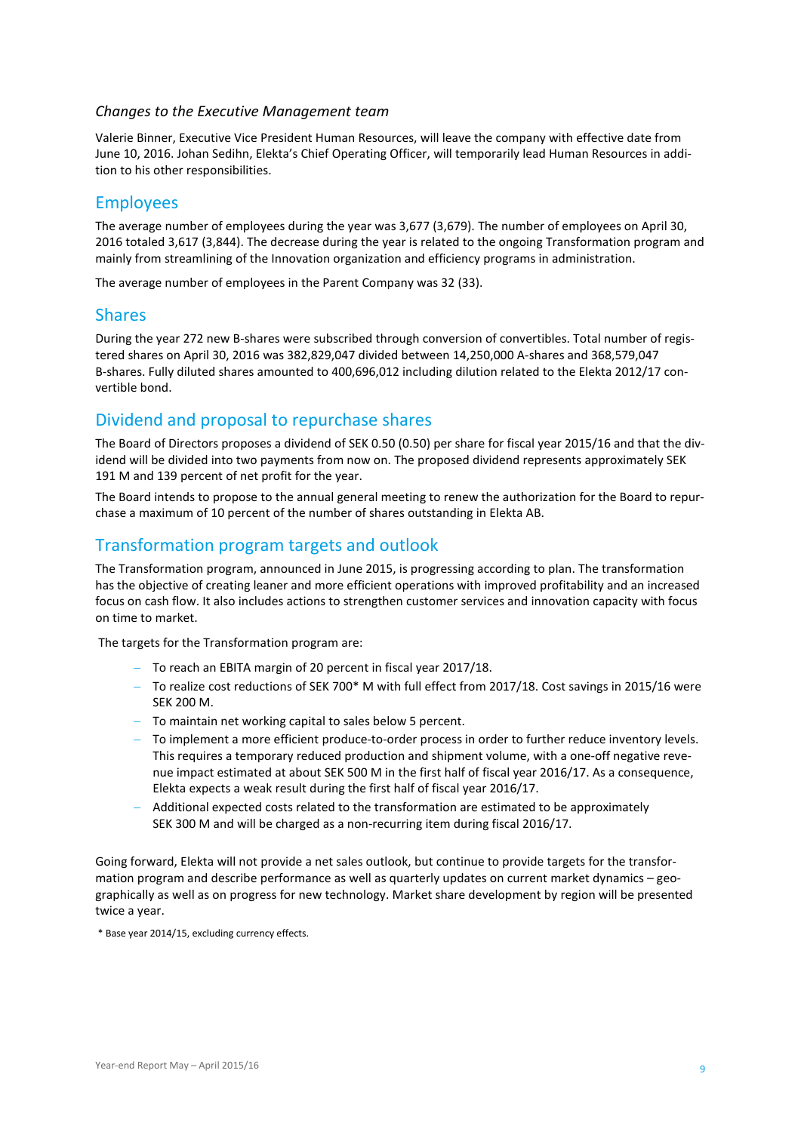#### *Changes to the Executive Management team*

Valerie Binner, Executive Vice President Human Resources, will leave the company with effective date from June 10, 2016. Johan Sedihn, Elekta's Chief Operating Officer, will temporarily lead Human Resources in addition to his other responsibilities.

### Employees

The average number of employees during the year was 3,677 (3,679). The number of employees on April 30, 2016 totaled 3,617 (3,844). The decrease during the year is related to the ongoing Transformation program and mainly from streamlining of the Innovation organization and efficiency programs in administration.

The average number of employees in the Parent Company was 32 (33).

### Shares

During the year 272 new B-shares were subscribed through conversion of convertibles. Total number of registered shares on April 30, 2016 was 382,829,047 divided between 14,250,000 A-shares and 368,579,047 B-shares. Fully diluted shares amounted to 400,696,012 including dilution related to the Elekta 2012/17 convertible bond.

# Dividend and proposal to repurchase shares

The Board of Directors proposes a dividend of SEK 0.50 (0.50) per share for fiscal year 2015/16 and that the dividend will be divided into two payments from now on. The proposed dividend represents approximately SEK 191 M and 139 percent of net profit for the year.

The Board intends to propose to the annual general meeting to renew the authorization for the Board to repurchase a maximum of 10 percent of the number of shares outstanding in Elekta AB.

# Transformation program targets and outlook

The Transformation program, announced in June 2015, is progressing according to plan. The transformation has the objective of creating leaner and more efficient operations with improved profitability and an increased focus on cash flow. It also includes actions to strengthen customer services and innovation capacity with focus on time to market.

The targets for the Transformation program are:

- − To reach an EBITA margin of 20 percent in fiscal year 2017/18.
- − To realize cost reductions of SEK 700\* M with full effect from 2017/18. Cost savings in 2015/16 were SEK 200 M.
- − To maintain net working capital to sales below 5 percent.
- To implement a more efficient produce-to-order process in order to further reduce inventory levels. This requires a temporary reduced production and shipment volume, with a one-off negative revenue impact estimated at about SEK 500 M in the first half of fiscal year 2016/17. As a consequence, Elekta expects a weak result during the first half of fiscal year 2016/17.
- − Additional expected costs related to the transformation are estimated to be approximately SEK 300 M and will be charged as a non-recurring item during fiscal 2016/17.

Going forward, Elekta will not provide a net sales outlook, but continue to provide targets for the transformation program and describe performance as well as quarterly updates on current market dynamics – geographically as well as on progress for new technology. Market share development by region will be presented twice a year.

\* Base year 2014/15, excluding currency effects.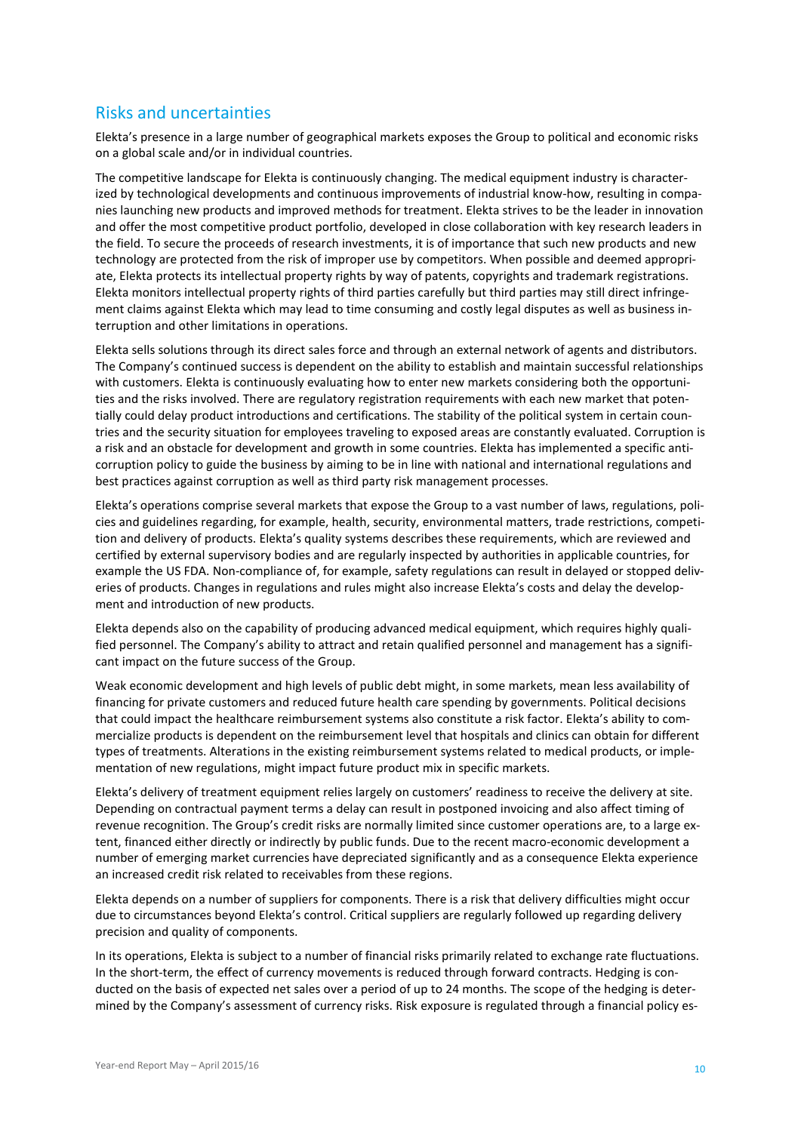# Risks and uncertainties

Elekta's presence in a large number of geographical markets exposes the Group to political and economic risks on a global scale and/or in individual countries.

The competitive landscape for Elekta is continuously changing. The medical equipment industry is characterized by technological developments and continuous improvements of industrial know-how, resulting in companies launching new products and improved methods for treatment. Elekta strives to be the leader in innovation and offer the most competitive product portfolio, developed in close collaboration with key research leaders in the field. To secure the proceeds of research investments, it is of importance that such new products and new technology are protected from the risk of improper use by competitors. When possible and deemed appropriate, Elekta protects its intellectual property rights by way of patents, copyrights and trademark registrations. Elekta monitors intellectual property rights of third parties carefully but third parties may still direct infringement claims against Elekta which may lead to time consuming and costly legal disputes as well as business interruption and other limitations in operations.

Elekta sells solutions through its direct sales force and through an external network of agents and distributors. The Company's continued success is dependent on the ability to establish and maintain successful relationships with customers. Elekta is continuously evaluating how to enter new markets considering both the opportunities and the risks involved. There are regulatory registration requirements with each new market that potentially could delay product introductions and certifications. The stability of the political system in certain countries and the security situation for employees traveling to exposed areas are constantly evaluated. Corruption is a risk and an obstacle for development and growth in some countries. Elekta has implemented a specific anticorruption policy to guide the business by aiming to be in line with national and international regulations and best practices against corruption as well as third party risk management processes.

Elekta's operations comprise several markets that expose the Group to a vast number of laws, regulations, policies and guidelines regarding, for example, health, security, environmental matters, trade restrictions, competition and delivery of products. Elekta's quality systems describes these requirements, which are reviewed and certified by external supervisory bodies and are regularly inspected by authorities in applicable countries, for example the US FDA. Non-compliance of, for example, safety regulations can result in delayed or stopped deliveries of products. Changes in regulations and rules might also increase Elekta's costs and delay the development and introduction of new products.

Elekta depends also on the capability of producing advanced medical equipment, which requires highly qualified personnel. The Company's ability to attract and retain qualified personnel and management has a significant impact on the future success of the Group.

Weak economic development and high levels of public debt might, in some markets, mean less availability of financing for private customers and reduced future health care spending by governments. Political decisions that could impact the healthcare reimbursement systems also constitute a risk factor. Elekta's ability to commercialize products is dependent on the reimbursement level that hospitals and clinics can obtain for different types of treatments. Alterations in the existing reimbursement systems related to medical products, or implementation of new regulations, might impact future product mix in specific markets.

Elekta's delivery of treatment equipment relies largely on customers' readiness to receive the delivery at site. Depending on contractual payment terms a delay can result in postponed invoicing and also affect timing of revenue recognition. The Group's credit risks are normally limited since customer operations are, to a large extent, financed either directly or indirectly by public funds. Due to the recent macro-economic development a number of emerging market currencies have depreciated significantly and as a consequence Elekta experience an increased credit risk related to receivables from these regions.

Elekta depends on a number of suppliers for components. There is a risk that delivery difficulties might occur due to circumstances beyond Elekta's control. Critical suppliers are regularly followed up regarding delivery precision and quality of components.

In its operations, Elekta is subject to a number of financial risks primarily related to exchange rate fluctuations. In the short-term, the effect of currency movements is reduced through forward contracts. Hedging is conducted on the basis of expected net sales over a period of up to 24 months. The scope of the hedging is determined by the Company's assessment of currency risks. Risk exposure is regulated through a financial policy es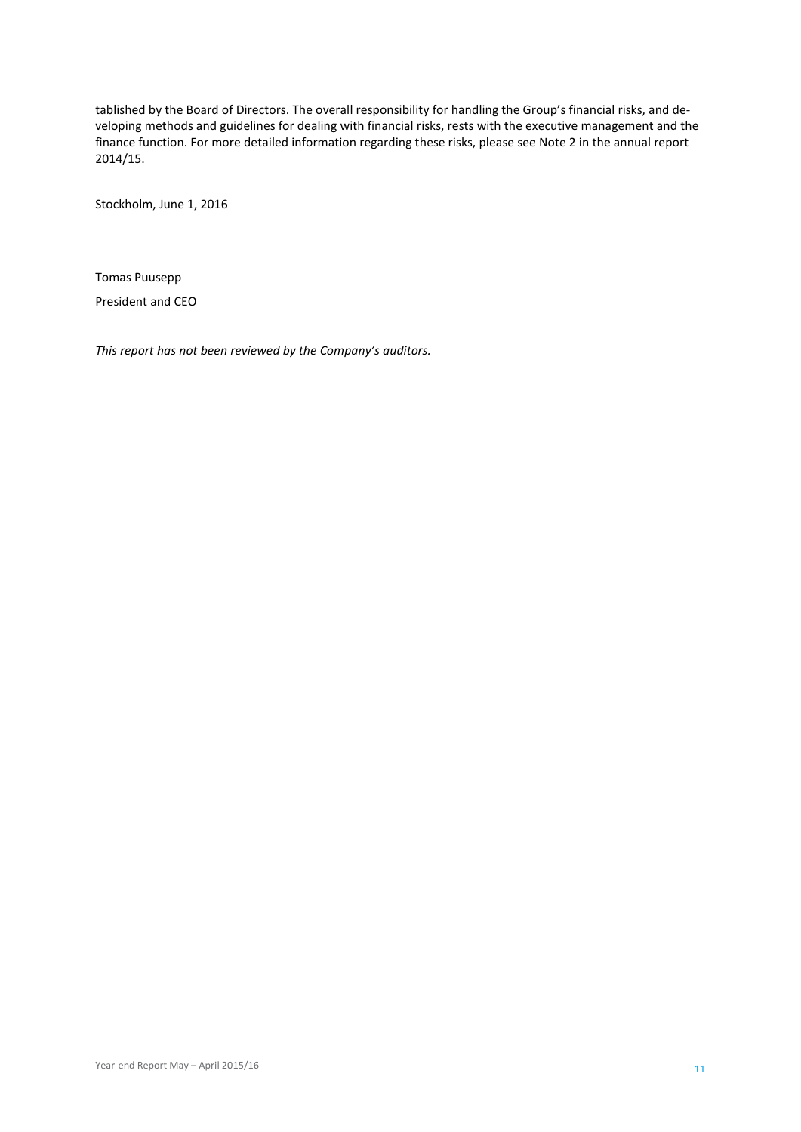tablished by the Board of Directors. The overall responsibility for handling the Group's financial risks, and developing methods and guidelines for dealing with financial risks, rests with the executive management and the finance function. For more detailed information regarding these risks, please see Note 2 in the annual report 2014/15.

Stockholm, June 1, 2016

Tomas Puusepp President and CEO

*This report has not been reviewed by the Company's auditors.*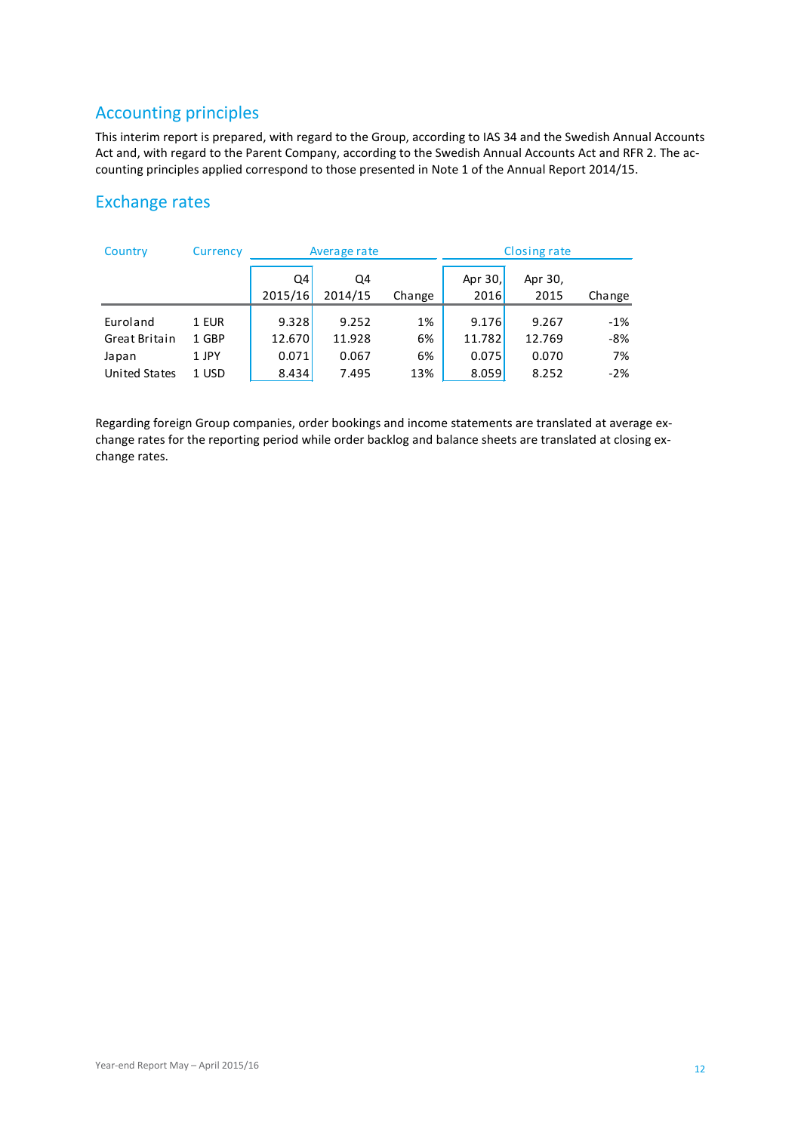# Accounting principles

This interim report is prepared, with regard to the Group, according to IAS 34 and the Swedish Annual Accounts Act and, with regard to the Parent Company, according to the Swedish Annual Accounts Act and RFR 2. The accounting principles applied correspond to those presented in Note 1 of the Annual Report 2014/15.

# Exchange rates

| Country              | Currency | Average rate |         |        |         | <b>Closing rate</b> |        |
|----------------------|----------|--------------|---------|--------|---------|---------------------|--------|
|                      |          | Q4           | Q4      |        | Apr 30, | Apr 30,             |        |
|                      |          | 2015/16      | 2014/15 | Change | 2016    | 2015                | Change |
| Euroland             | 1 EUR    | 9.328        | 9.252   | 1%     | 9.176   | 9.267               | $-1%$  |
| Great Britain        | 1 GBP    | 12.670       | 11.928  | 6%     | 11.782  | 12.769              | $-8%$  |
| Japan                | 1 JPY    | 0.071        | 0.067   | 6%     | 0.075   | 0.070               | 7%     |
| <b>United States</b> | 1 USD    | 8.434        | 7.495   | 13%    | 8.059   | 8.252               | $-2%$  |

Regarding foreign Group companies, order bookings and income statements are translated at average exchange rates for the reporting period while order backlog and balance sheets are translated at closing exchange rates.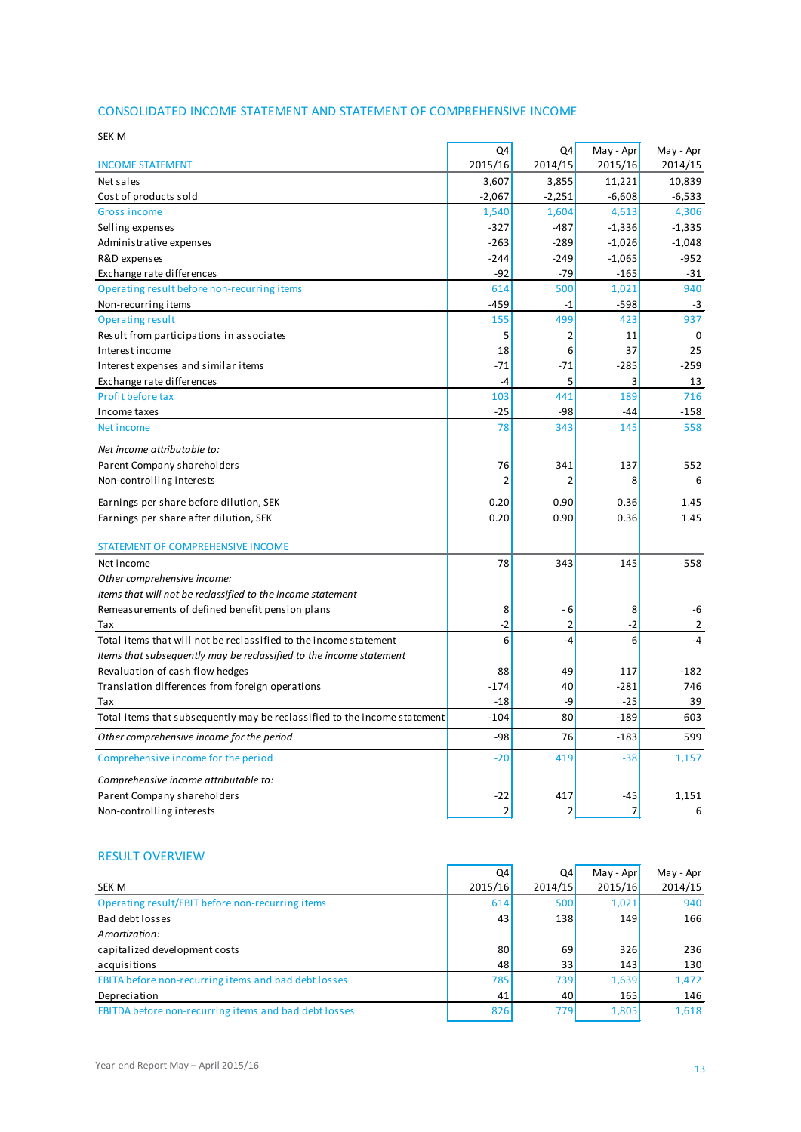### CONSOLIDATED INCOME STATEMENT AND STATEMENT OF COMPREHENSIVE INCOME

| SEK M                                                                     |                |                |           |           |
|---------------------------------------------------------------------------|----------------|----------------|-----------|-----------|
|                                                                           | Q4             | Q4             | May - Apr | May - Apr |
| <b>INCOME STATEMENT</b>                                                   | 2015/16        | 2014/15        | 2015/16   | 2014/15   |
| Net sales                                                                 | 3,607          | 3,855          | 11,221    | 10,839    |
| Cost of products sold                                                     | $-2,067$       | -2,251         | $-6,608$  | -6,533    |
| <b>Gross income</b>                                                       | 1,540          | 1,604          | 4,613     | 4,306     |
| Selling expenses                                                          | $-327$         | $-487$         | $-1,336$  | $-1,335$  |
| Administrative expenses                                                   | $-263$         | $-289$         | $-1,026$  | $-1,048$  |
| R&D expenses                                                              | $-244$         | $-249$         | $-1,065$  | $-952$    |
| Exchange rate differences                                                 | $-92$          | $-79$          | $-165$    | $-31$     |
| Operating result before non-recurring items                               | 614            | 500            | 1,021     | 940       |
| Non-recurring items                                                       | $-459$         | $-1$           | $-598$    | $-3$      |
| <b>Operating result</b>                                                   | 155            | 499            | 423       | 937       |
| Result from participations in associates                                  | 5              | $\overline{2}$ | 11        | 0         |
| Interest income                                                           | 18             | 6              | 37        | 25        |
| Interest expenses and similar items                                       | $-71$          | $-71$          | $-285$    | $-259$    |
| Exchange rate differences                                                 | -4             | 5              | 3         | 13        |
| Profit before tax                                                         | 103            | 441            | 189       | 716       |
| Income taxes                                                              | $-25$          | $-98$          | -44       | $-158$    |
| Net income                                                                | 78             | 343            | 145       | 558       |
| Net income attributable to:                                               |                |                |           |           |
| Parent Company shareholders                                               | 76             | 341            | 137       | 552       |
| Non-controlling interests                                                 | $\overline{2}$ | 2              | 8         | 6         |
| Earnings per share before dilution, SEK                                   | 0.20           | 0.90           | 0.36      | 1.45      |
| Earnings per share after dilution, SEK                                    | 0.20           | 0.90           | 0.36      | 1.45      |
| STATEMENT OF COMPREHENSIVE INCOME                                         |                |                |           |           |
| Net income                                                                | 78             | 343            | 145       | 558       |
| Other comprehensive income:                                               |                |                |           |           |
| Items that will not be reclassified to the income statement               |                |                |           |           |
| Remeasurements of defined benefit pension plans                           | 8              | - 6            | 8         | -6        |
| Tax                                                                       | $-2$           | $\overline{2}$ | $-2$      | 2         |
| Total items that will not be reclassified to the income statement         | 6              | $-4$           | 6         | $-4$      |
| Items that subsequently may be reclassified to the income statement       |                |                |           |           |
| Revaluation of cash flow hedges                                           | 88             | 49             | 117       | $-182$    |
| Translation differences from foreign operations                           | $-174$         | 40             | $-281$    | 746       |
| Tax                                                                       | $-18$          | -9             | $-25$     | 39        |
| Total items that subsequently may be reclassified to the income statement | $-104$         | 80             | $-189$    | 603       |
| Other comprehensive income for the period                                 | $-98$          | 76             | $-183$    | 599       |
| Comprehensive income for the period                                       | $-20$          | 419            | $-38$     | 1,157     |
| Comprehensive income attributable to:                                     |                |                |           |           |
| Parent Company shareholders                                               | $-22$          | 417            | $-45$     | 1,151     |
| Non-controlling interests                                                 | $\overline{2}$ | $\overline{2}$ | 7         | 6         |
|                                                                           |                |                |           |           |

#### RESULT OVERVIEW

|                                                       | Q4      | Q4         | May - Apr | May - Apr |
|-------------------------------------------------------|---------|------------|-----------|-----------|
| <b>SEK M</b>                                          | 2015/16 | 2014/15    | 2015/16   | 2014/15   |
| Operating result/EBIT before non-recurring items      | 614     | <b>500</b> | 1,021     | 940       |
| Bad debt losses                                       | 43      | 138        | 149       | 166       |
| Amortization:                                         |         |            |           |           |
| capitalized development costs                         | 80      | 69         | 326       | 236       |
| acquisitions                                          | 48      | 331        | 143       | 130       |
| EBITA before non-recurring items and bad debt losses  | 785     | 739        | 1,639     | 1,472     |
| Depreciation                                          | 41      | 40         | 165       | 146       |
| EBITDA before non-recurring items and bad debt losses | 826     | <b>779</b> | 1,805     | 1,618     |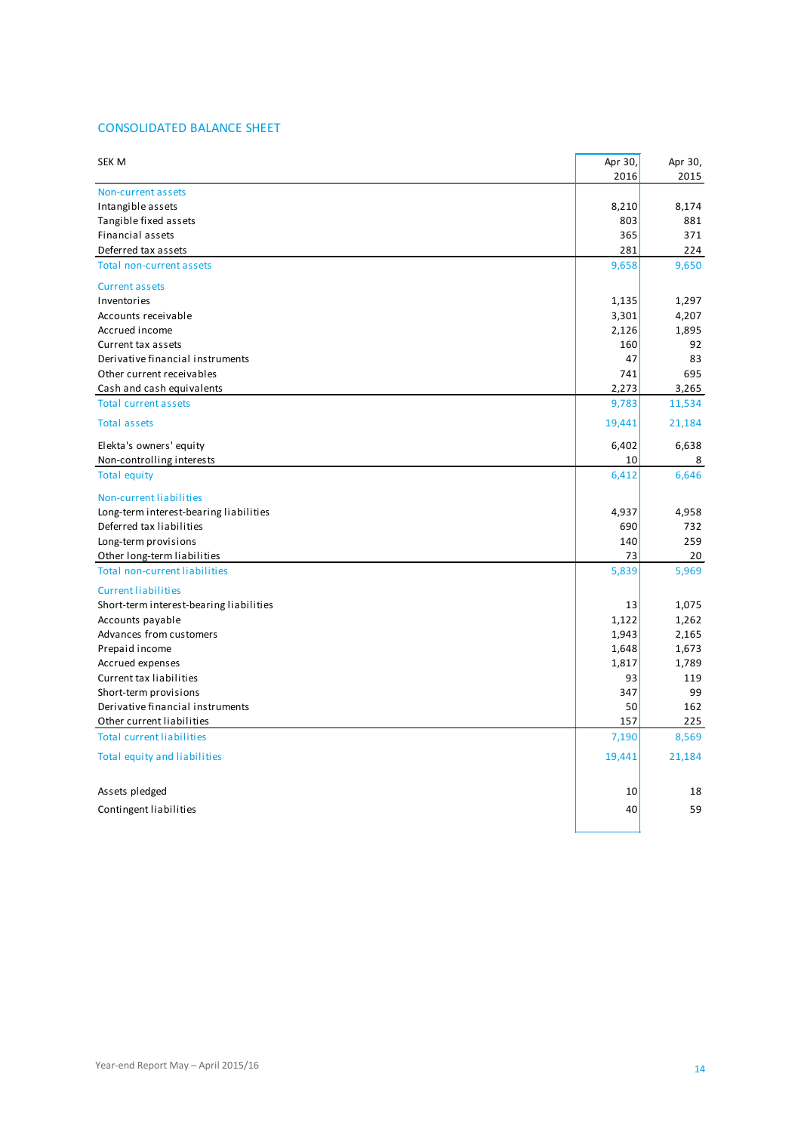### CONSOLIDATED BALANCE SHEET

| SEK M                                   | Apr 30, | Apr 30, |
|-----------------------------------------|---------|---------|
|                                         | 2016    | 2015    |
| Non-current assets                      |         |         |
| Intangible assets                       | 8,210   | 8,174   |
| Tangible fixed assets                   | 803     | 881     |
| Financial assets                        | 365     | 371     |
| Deferred tax assets                     | 281     | 224     |
| Total non-current assets                | 9,658   | 9,650   |
| <b>Current assets</b>                   |         |         |
| Inventories                             | 1,135   | 1,297   |
| Accounts receivable                     | 3,301   | 4,207   |
| Accrued income                          | 2,126   | 1,895   |
| Current tax assets                      | 160     | 92      |
| Derivative financial instruments        | 47      | 83      |
| Other current receivables               | 741     | 695     |
| Cash and cash equivalents               | 2,273   | 3,265   |
| <b>Total current assets</b>             | 9,783   | 11,534  |
| <b>Total assets</b>                     | 19,441  | 21,184  |
| Elekta's owners' equity                 | 6,402   | 6,638   |
| Non-controlling interests               | 10      | 8       |
|                                         |         |         |
| <b>Total equity</b>                     | 6,412   | 6,646   |
| Non-current liabilities                 |         |         |
| Long-term interest-bearing liabilities  | 4,937   | 4,958   |
| Deferred tax liabilities                | 690     | 732     |
| Long-term provisions                    | 140     | 259     |
| Other long-term liabilities             | 73      | 20      |
| <b>Total non-current liabilities</b>    | 5,839   | 5,969   |
| <b>Current liabilities</b>              |         |         |
| Short-term interest-bearing liabilities | 13      | 1,075   |
| Accounts payable                        | 1,122   | 1,262   |
| Advances from customers                 | 1,943   | 2,165   |
| Prepaid income                          | 1,648   | 1,673   |
| Accrued expenses                        | 1,817   | 1,789   |
| Current tax liabilities                 | 93      | 119     |
| Short-term provisions                   | 347     | 99      |
| Derivative financial instruments        | 50      | 162     |
| Other current liabilities               | 157     | 225     |
|                                         |         |         |
| <b>Total current liabilities</b>        | 7,190   | 8,569   |
| Total equity and liabilities            | 19,441  | 21,184  |
| Assets pledged                          | 10      | 18      |
|                                         |         | 59      |
| Contingent liabilities                  | 40      |         |
|                                         |         |         |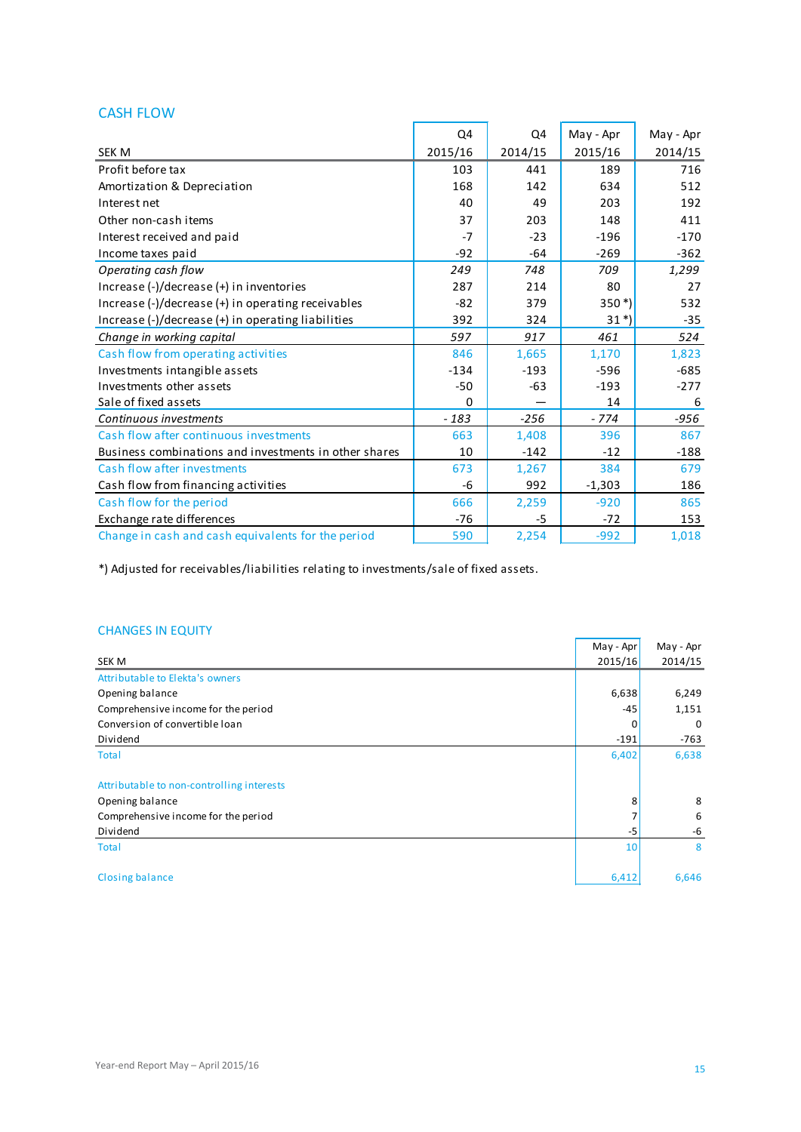# CASH FLOW

|                                                       | Q4       | Q4      | May - Apr | May - Apr |
|-------------------------------------------------------|----------|---------|-----------|-----------|
| <b>SEK M</b>                                          | 2015/16  | 2014/15 | 2015/16   | 2014/15   |
| Profit before tax                                     | 103      | 441     | 189       | 716       |
| Amortization & Depreciation                           | 168      | 142     | 634       | 512       |
| Interest net                                          | 40       | 49      | 203       | 192       |
| Other non-cash items                                  | 37       | 203     | 148       | 411       |
| Interest received and paid                            | $-7$     | $-23$   | $-196$    | $-170$    |
| Income taxes paid                                     | $-92$    | $-64$   | $-269$    | $-362$    |
| Operating cash flow                                   | 249      | 748     | 709       | 1,299     |
| Increase (-)/decrease (+) in inventories              | 287      | 214     | 80        | 27        |
| Increase (-)/decrease (+) in operating receivables    | $-82$    | 379     | $350*)$   | 532       |
| Increase (-)/decrease (+) in operating liabilities    | 392      | 324     | $31*)$    | $-35$     |
| Change in working capital                             | 597      | 917     | 461       | 524       |
| Cash flow from operating activities                   | 846      | 1,665   | 1,170     | 1,823     |
| Investments intangible assets                         | $-134$   | $-193$  | -596      | $-685$    |
| Investments other assets                              | $-50$    | $-63$   | $-193$    | $-277$    |
| Sale of fixed assets                                  | $\Omega$ |         | 14        | 6         |
| Continuous investments                                | $-183$   | $-256$  | $-774$    | $-956$    |
| Cash flow after continuous investments                | 663      | 1,408   | 396       | 867       |
| Business combinations and investments in other shares | 10       | $-142$  | $-12$     | $-188$    |
| Cash flow after investments                           | 673      | 1,267   | 384       | 679       |
| Cash flow from financing activities                   | -6       | 992     | $-1,303$  | 186       |
| Cash flow for the period                              | 666      | 2,259   | $-920$    | 865       |
| Exchange rate differences                             | $-76$    | -5      | $-72$     | 153       |
| Change in cash and cash equivalents for the period    | 590      | 2,254   | $-992$    | 1,018     |

\*) Adjusted for receivables/liabilities relating to investments/sale of fixed assets.

### CHANGES IN EQUITY

|                                           | May - Apr | May - Apr   |
|-------------------------------------------|-----------|-------------|
| SEK M                                     | 2015/16   | 2014/15     |
| Attributable to Elekta's owners           |           |             |
| Opening balance                           | 6,638     | 6,249       |
| Comprehensive income for the period       | -45       | 1,151       |
| Conversion of convertible loan            | 0         | $\mathbf 0$ |
| Dividend                                  | $-191$    | $-763$      |
| <b>Total</b>                              | 6,402     | 6,638       |
|                                           |           |             |
| Attributable to non-controlling interests |           |             |
| Opening balance                           | 8         | 8           |
| Comprehensive income for the period       |           | 6           |
| Dividend                                  | -5        | -6          |
| <b>Total</b>                              | 10        | 8           |
|                                           |           |             |
| <b>Closing balance</b>                    | 6,412     | 6,646       |

÷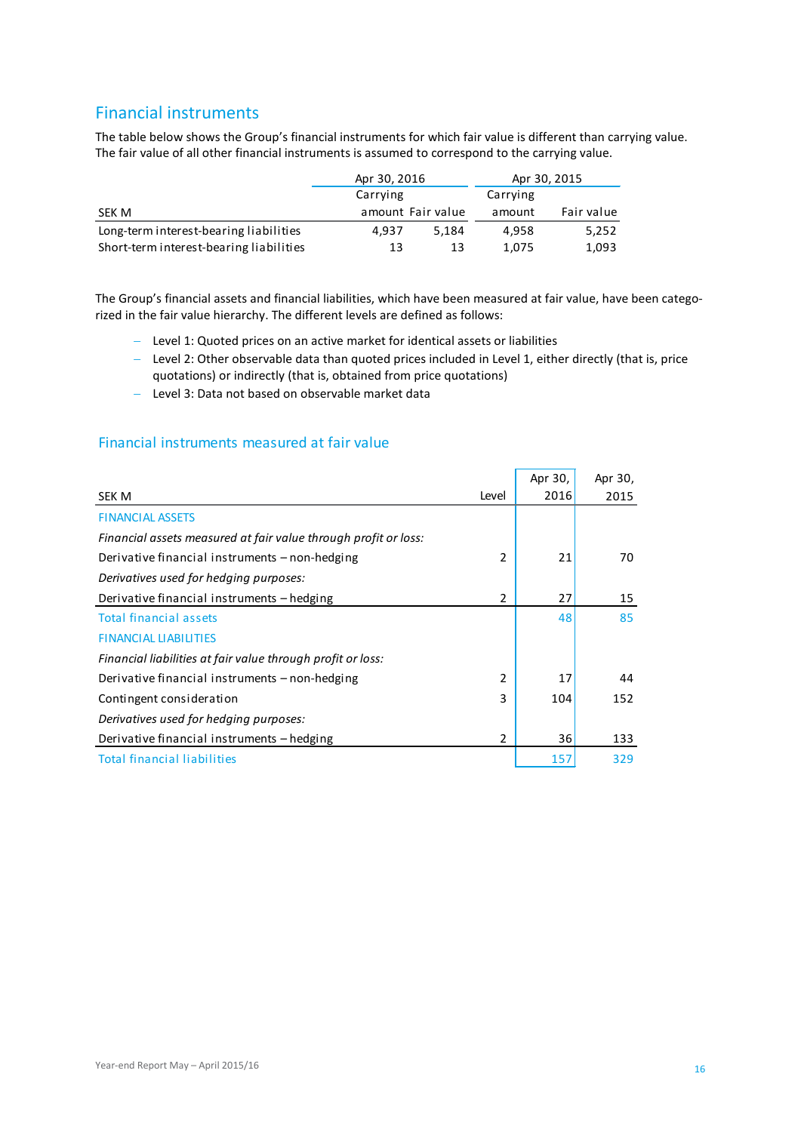# Financial instruments

The table below shows the Group's financial instruments for which fair value is different than carrying value. The fair value of all other financial instruments is assumed to correspond to the carrying value.

|                                         | Apr 30, 2016 |                   |        | Apr 30, 2015 |
|-----------------------------------------|--------------|-------------------|--------|--------------|
|                                         | Carrying     | Carrying          |        |              |
| SEK M                                   |              | amount Fair value | amount | Fair value   |
| Long-term interest-bearing liabilities  | 4.937        | 5.184             | 4.958  | 5.252        |
| Short-term interest-bearing liabilities | 13           | 13                | 1.075  | 1,093        |

The Group's financial assets and financial liabilities, which have been measured at fair value, have been categorized in the fair value hierarchy. The different levels are defined as follows:

- − Level 1: Quoted prices on an active market for identical assets or liabilities
- − Level 2: Other observable data than quoted prices included in Level 1, either directly (that is, price quotations) or indirectly (that is, obtained from price quotations)
- − Level 3: Data not based on observable market data

#### Financial instruments measured at fair value

|                                                                 |                | Apr 30, | Apr 30, |
|-----------------------------------------------------------------|----------------|---------|---------|
| <b>SEK M</b>                                                    | Level          | 2016    | 2015    |
| <b>FINANCIAL ASSETS</b>                                         |                |         |         |
| Financial assets measured at fair value through profit or loss: |                |         |         |
| Derivative financial instruments – non-hedging                  | 2              | 21      | 70      |
| Derivatives used for hedging purposes:                          |                |         |         |
| Derivative financial instruments – hedging                      | 2              | 27      | 15      |
| <b>Total financial assets</b>                                   |                | 48      | 85      |
| <b>FINANCIAL LIABILITIES</b>                                    |                |         |         |
| Financial liabilities at fair value through profit or loss:     |                |         |         |
| Derivative financial instruments – non-hedging                  | $\overline{2}$ | 17      | 44      |
| Contingent consideration                                        | 3              | 104     | 152     |
| Derivatives used for hedging purposes:                          |                |         |         |
| Derivative financial instruments - hedging                      | $\overline{2}$ | 36      | 133     |
| <b>Total financial liabilities</b>                              |                | 157     | 329     |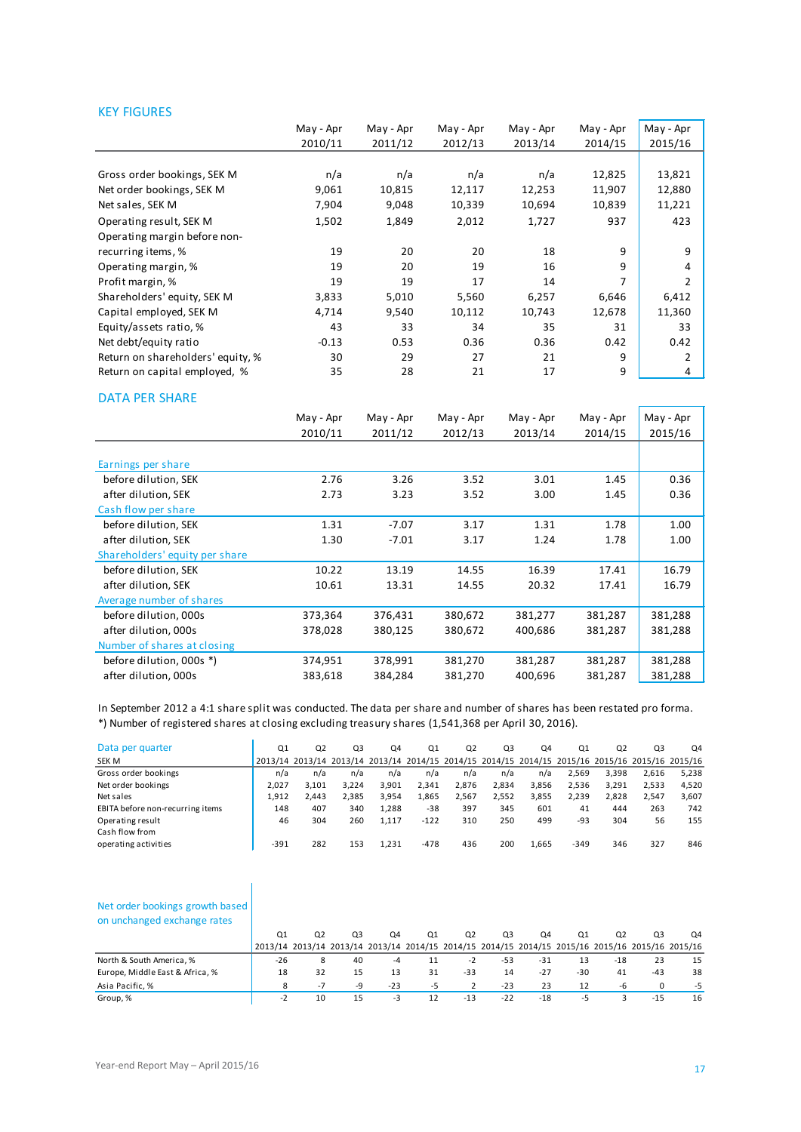#### KEY FIGURES

|                                   | May - Apr | May - Apr | May - Apr | May - Apr | May - Apr | May - Apr |
|-----------------------------------|-----------|-----------|-----------|-----------|-----------|-----------|
|                                   | 2010/11   | 2011/12   | 2012/13   | 2013/14   | 2014/15   | 2015/16   |
|                                   |           |           |           |           |           |           |
| Gross order bookings, SEK M       | n/a       | n/a       | n/a       | n/a       | 12,825    | 13,821    |
| Net order bookings, SEK M         | 9,061     | 10,815    | 12,117    | 12,253    | 11,907    | 12,880    |
| Net sales, SEK M                  | 7,904     | 9,048     | 10,339    | 10,694    | 10,839    | 11,221    |
| Operating result, SEK M           | 1,502     | 1,849     | 2,012     | 1,727     | 937       | 423       |
| Operating margin before non-      |           |           |           |           |           |           |
| recurring items, %                | 19        | 20        | 20        | 18        | 9         | 9         |
| Operating margin, %               | 19        | 20        | 19        | 16        | 9         | 4         |
| Profit margin, %                  | 19        | 19        | 17        | 14        | 7         | 2         |
| Shareholders' equity, SEK M       | 3,833     | 5,010     | 5,560     | 6,257     | 6,646     | 6,412     |
| Capital employed, SEK M           | 4,714     | 9,540     | 10,112    | 10,743    | 12,678    | 11,360    |
| Equity/assets ratio, %            | 43        | 33        | 34        | 35        | 31        | 33        |
| Net debt/equity ratio             | $-0.13$   | 0.53      | 0.36      | 0.36      | 0.42      | 0.42      |
| Return on shareholders' equity, % | 30        | 29        | 27        | 21        | 9         | 2         |
| Return on capital employed, %     | 35        | 28        | 21        | 17        | 9         | 4         |

#### DATA PER SHARE

|                                | May - Apr | May - Apr | May - Apr | May - Apr | May - Apr | May - Apr |
|--------------------------------|-----------|-----------|-----------|-----------|-----------|-----------|
|                                | 2010/11   | 2011/12   | 2012/13   | 2013/14   | 2014/15   | 2015/16   |
|                                |           |           |           |           |           |           |
| Earnings per share             |           |           |           |           |           |           |
| before dilution, SEK           | 2.76      | 3.26      | 3.52      | 3.01      | 1.45      | 0.36      |
| after dilution, SEK            | 2.73      | 3.23      | 3.52      | 3.00      | 1.45      | 0.36      |
| Cash flow per share            |           |           |           |           |           |           |
| before dilution, SEK           | 1.31      | $-7.07$   | 3.17      | 1.31      | 1.78      | 1.00      |
| after dilution, SEK            | 1.30      | $-7.01$   | 3.17      | 1.24      | 1.78      | 1.00      |
| Shareholders' equity per share |           |           |           |           |           |           |
| before dilution, SEK           | 10.22     | 13.19     | 14.55     | 16.39     | 17.41     | 16.79     |
| after dilution, SEK            | 10.61     | 13.31     | 14.55     | 20.32     | 17.41     | 16.79     |
| Average number of shares       |           |           |           |           |           |           |
| before dilution, 000s          | 373,364   | 376,431   | 380,672   | 381,277   | 381,287   | 381,288   |
| after dilution, 000s           | 378,028   | 380,125   | 380,672   | 400,686   | 381,287   | 381,288   |
| Number of shares at closing    |           |           |           |           |           |           |
| before dilution, 000s *)       | 374,951   | 378,991   | 381,270   | 381,287   | 381,287   | 381,288   |
| after dilution, 000s           | 383,618   | 384,284   | 381,270   | 400,696   | 381,287   | 381,288   |

In September 2012 a 4:1 share split was conducted. The data per share and number of shares has been restated pro forma. \*) Number of registered shares at closing excluding treasury shares (1,541,368 per April 30, 2016).

| Data per quarter                 | Q <sub>1</sub> | Q <sub>2</sub> | Q3    | Q4                                                                                              | Q <sub>1</sub> | Q2    | Q <sub>3</sub> | Q <sub>4</sub> | Q1     | Q <sub>2</sub> | Q3    | Q4    |
|----------------------------------|----------------|----------------|-------|-------------------------------------------------------------------------------------------------|----------------|-------|----------------|----------------|--------|----------------|-------|-------|
| SEK M                            |                |                |       | 2013/14 2013/14 2013/14 2013/14 2014/15 2014/15 2014/15 2014/15 2015/16 2015/16 2015/16 2015/16 |                |       |                |                |        |                |       |       |
| Gross order bookings             | n/a            | n/a            | n/a   | n/a                                                                                             | n/a            | n/a   | n/a            | n/a            | 2,569  | 3,398          | 2,616 | 5,238 |
| Net order bookings               | 2.027          | 3.101          | 3.224 | 3.901                                                                                           | 2.341          | 2.876 | 2.834          | 3,856          | 2.536  | 3.291          | 2,533 | 4.520 |
| Net sales                        | 1,912          | 2.443          | 2.385 | 3.954                                                                                           | 1,865          | 2,567 | 2,552          | 3,855          | 2,239  | 2,828          | 2,547 | 3,607 |
| EBITA before non-recurring items | 148            | 407            | 340   | 1.288                                                                                           | $-38$          | 397   | 345            | 601            | 41     | 444            | 263   | 742   |
| Operating result                 | 46             | 304            | 260   | 1.117                                                                                           | $-122$         | 310   | 250            | 499            | $-93$  | 304            | 56    | 155   |
| Cash flow from                   |                |                |       |                                                                                                 |                |       |                |                |        |                |       |       |
| operating activities             | $-391$         | 282            | 153   | 1.231                                                                                           | $-478$         | 436   | 200            | 1,665          | $-349$ | 346            | 327   | 846   |
|                                  |                |                |       |                                                                                                 |                |       |                |                |        |                |       |       |

#### Net order bookings growth based on unchanged exchange rates

|                                 | Ο1                                                                                              | Q <sub>2</sub> | Q3 | Q4    | Q1 | Q2    | Q3    | Q4    | Ο1    | Q2    | Q3     | Q4 |
|---------------------------------|-------------------------------------------------------------------------------------------------|----------------|----|-------|----|-------|-------|-------|-------|-------|--------|----|
|                                 | 2013/14 2013/14 2013/14 2013/14 2014/15 2014/15 2014/15 2014/15 2015/16 2015/16 2015/16 2015/16 |                |    |       |    |       |       |       |       |       |        |    |
| North & South America, %        | $-26$                                                                                           |                | 40 |       |    | -2    | -53   | $-31$ | 13    | $-18$ | 23     | 15 |
| Europe, Middle East & Africa, % | 18                                                                                              | 32             | 15 | 13    | 31 | $-33$ | 14    | $-27$ | $-30$ | 41    | $-43$  | 38 |
| Asia Pacific, %                 |                                                                                                 | $-1$           | -9 | $-23$ | -5 |       | $-23$ | 23    | 12    | -6    |        | -5 |
| Group, %                        |                                                                                                 | 10             | 15 | -3    |    | $-13$ | $-22$ | $-18$ | -5    |       | $-1.5$ | 16 |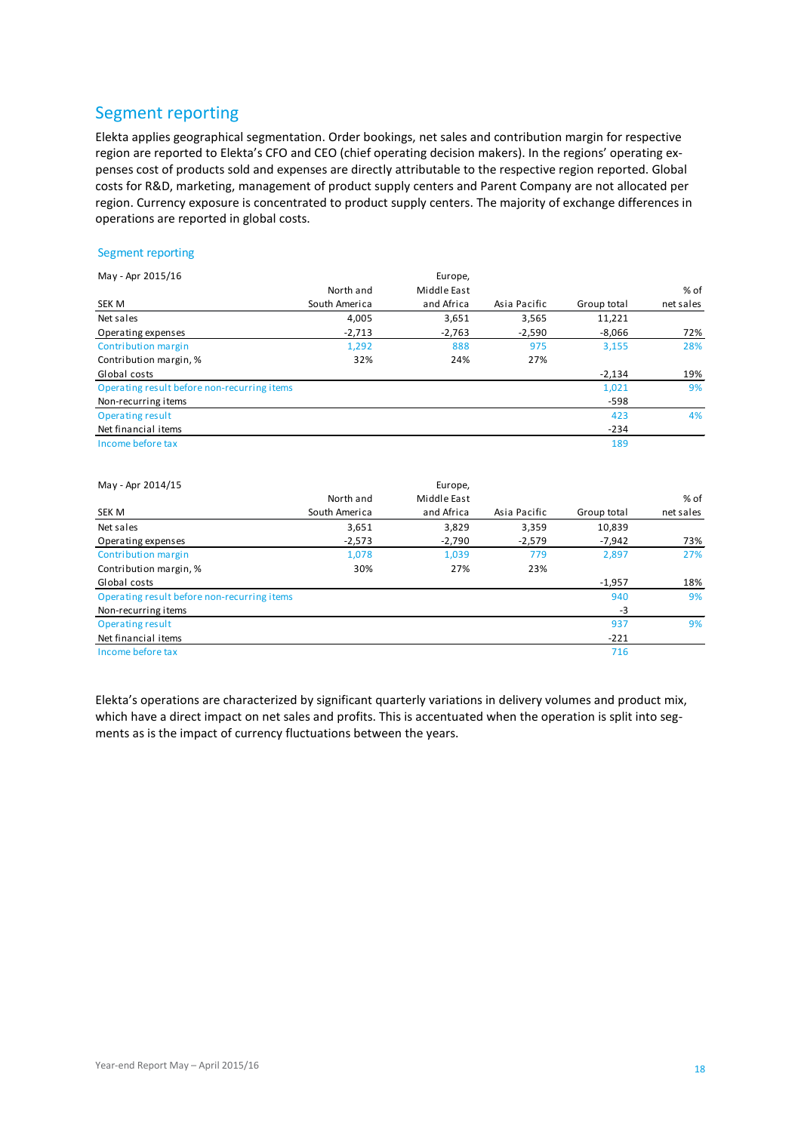# Segment reporting

Elekta applies geographical segmentation. Order bookings, net sales and contribution margin for respective region are reported to Elekta's CFO and CEO (chief operating decision makers). In the regions' operating expenses cost of products sold and expenses are directly attributable to the respective region reported. Global costs for R&D, marketing, management of product supply centers and Parent Company are not allocated per region. Currency exposure is concentrated to product supply centers. The majority of exchange differences in operations are reported in global costs.

#### Segment reporting

| May - Apr 2015/16                           |               | Europe,     |              |             |           |
|---------------------------------------------|---------------|-------------|--------------|-------------|-----------|
|                                             | North and     | Middle East |              |             | % of      |
| SEK M                                       | South America | and Africa  | Asia Pacific | Group total | net sales |
| Net sales                                   | 4,005         | 3,651       | 3,565        | 11,221      |           |
| Operating expenses                          | $-2,713$      | $-2,763$    | $-2,590$     | $-8,066$    | 72%       |
| Contribution margin                         | 1,292         | 888         | 975          | 3,155       | 28%       |
| Contribution margin, %                      | 32%           | 24%         | 27%          |             |           |
| Global costs                                |               |             |              | $-2,134$    | 19%       |
| Operating result before non-recurring items |               |             |              | 1,021       | 9%        |
| Non-recurring items                         |               |             |              | $-598$      |           |
| Operating result                            |               |             |              | 423         | 4%        |
| Net financial items                         |               |             |              | $-234$      |           |
| Income before tax                           |               |             |              | 189         |           |

| May - Apr 2014/15                           |               | Europe,     |              |             |           |
|---------------------------------------------|---------------|-------------|--------------|-------------|-----------|
|                                             | North and     | Middle East |              |             | % of      |
| SEK M                                       | South America | and Africa  | Asia Pacific | Group total | net sales |
| Net sales                                   | 3,651         | 3,829       | 3,359        | 10,839      |           |
| Operating expenses                          | $-2,573$      | $-2,790$    | $-2,579$     | $-7,942$    | 73%       |
| Contribution margin                         | 1,078         | 1,039       | 779          | 2,897       | 27%       |
| Contribution margin, %                      | 30%           | 27%         | 23%          |             |           |
| Global costs                                |               |             |              | $-1,957$    | 18%       |
| Operating result before non-recurring items |               |             |              | 940         | 9%        |
| Non-recurring items                         |               |             |              | $-3$        |           |
| Operating result                            |               |             |              | 937         | 9%        |
| Net financial items                         |               |             |              | $-221$      |           |
| Income before tax                           |               |             |              | 716         |           |

Elekta's operations are characterized by significant quarterly variations in delivery volumes and product mix, which have a direct impact on net sales and profits. This is accentuated when the operation is split into segments as is the impact of currency fluctuations between the years.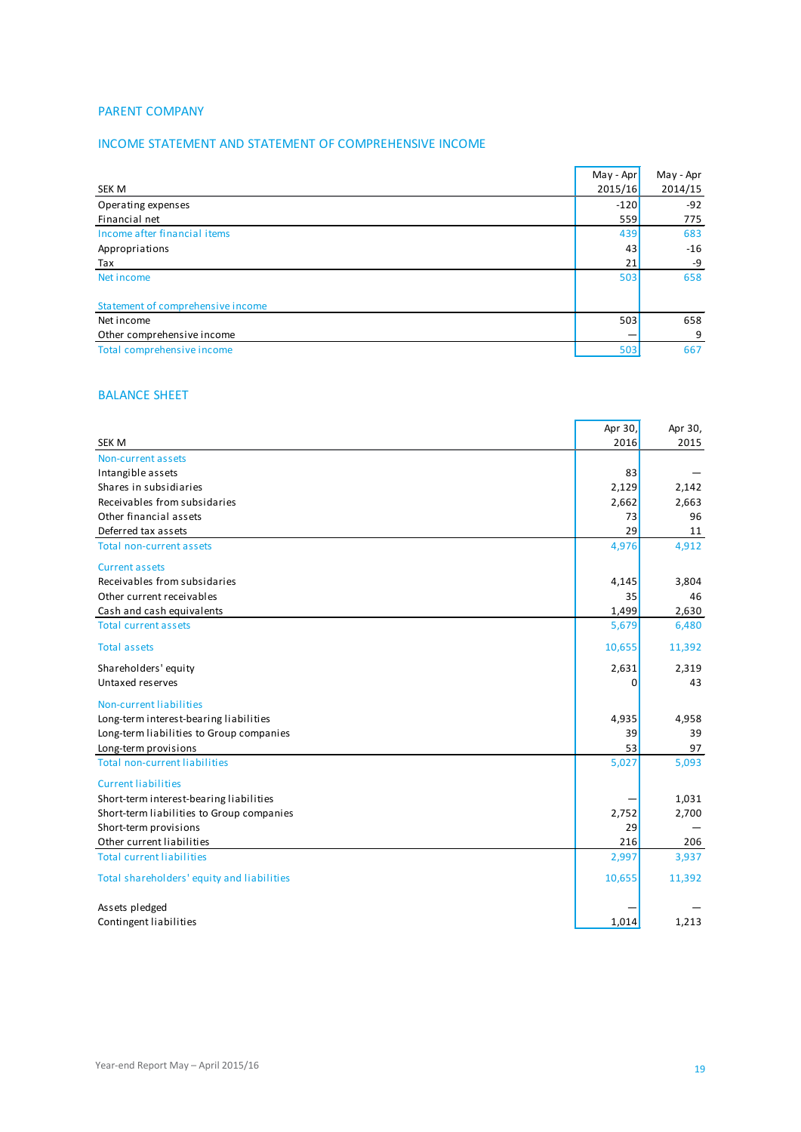#### PARENT COMPANY

### INCOME STATEMENT AND STATEMENT OF COMPREHENSIVE INCOME

|                                   | $May - Apr$ | May - Apr |
|-----------------------------------|-------------|-----------|
| SEK M                             | 2015/16     | 2014/15   |
| Operating expenses                | $-120$      | $-92$     |
| Financial net                     | 559         | 775       |
| Income after financial items      | 439         | 683       |
| Appropriations                    | 43          | $-16$     |
| Tax                               | 21          | -9        |
| Net income                        | 503         | 658       |
|                                   |             |           |
| Statement of comprehensive income |             |           |
| Net income                        | 503         | 658       |
| Other comprehensive income        |             | 9         |
| Total comprehensive income        | 503         | 667       |

#### BALANCE SHEET

|                                            | Apr 30, | Apr 30, |
|--------------------------------------------|---------|---------|
| <b>SEK M</b>                               | 2016    | 2015    |
| Non-current assets                         |         |         |
| Intangible assets                          | 83      |         |
| Shares in subsidiaries                     | 2,129   | 2,142   |
| Receivables from subsidaries               | 2,662   | 2,663   |
| Other financial assets                     | 73      | 96      |
| Deferred tax assets                        | 29      | 11      |
| <b>Total non-current assets</b>            | 4,976   | 4,912   |
| <b>Current assets</b>                      |         |         |
| Receivables from subsidaries               | 4,145   | 3,804   |
| Other current receivables                  | 35      | 46      |
| Cash and cash equivalents                  | 1,499   | 2,630   |
| <b>Total current assets</b>                | 5,679   | 6,480   |
| <b>Total assets</b>                        | 10,655  | 11,392  |
| Shareholders' equity                       | 2,631   | 2,319   |
| Untaxed reserves                           | 0       | 43      |
| Non-current liabilities                    |         |         |
| Long-term interest-bearing liabilities     | 4,935   | 4,958   |
| Long-term liabilities to Group companies   | 39      | 39      |
| Long-term provisions                       | 53      | 97      |
| <b>Total non-current liabilities</b>       | 5,027   | 5,093   |
| <b>Current liabilities</b>                 |         |         |
| Short-term interest-bearing liabilities    |         | 1,031   |
| Short-term liabilities to Group companies  | 2,752   | 2,700   |
| Short-term provisions                      | 29      |         |
| Other current liabilities                  | 216     | 206     |
| <b>Total current liabilities</b>           | 2,997   | 3,937   |
| Total shareholders' equity and liabilities | 10,655  | 11,392  |
| Assets pledged                             |         |         |
| Contingent liabilities                     | 1,014   | 1,213   |